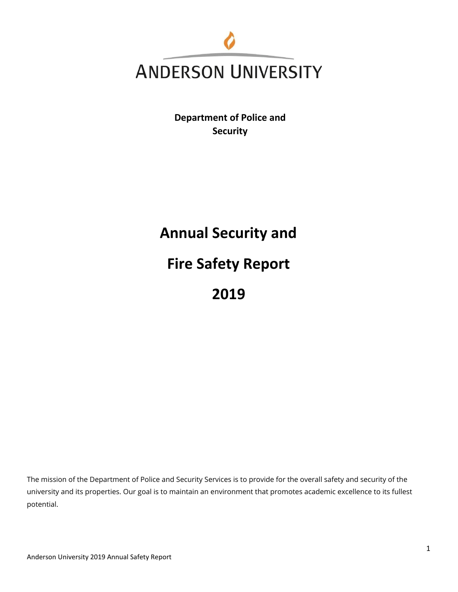

**Department of Police and Security**

# **Annual Security and**

**Fire Safety Report**

**2019**

The mission of the Department of Police and Security Services is to provide for the overall safety and security of the university and its properties. Our goal is to maintain an environment that promotes academic excellence to its fullest potential.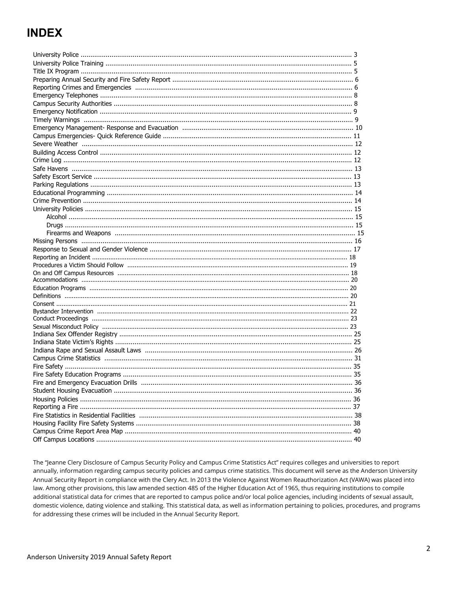# **INDEX**

The "Jeanne Clery Disclosure of Campus Security Policy and Campus Crime Statistics Act" requires colleges and universities to report annually, information regarding campus security policies and campus crime statistics. This document will serve as the Anderson University Annual Security Report in compliance with the Clery Act. In 2013 the Violence Against Women Reauthorization Act (VAWA) was placed into law. Among other provisions, this law amended section 485 of the Higher Education Act of 1965, thus requiring institutions to compile additional statistical data for crimes that are reported to campus police and/or local police agencies, including incidents of sexual assault, domestic violence, dating violence and stalking. This statistical data, as well as information pertaining to policies, procedures, and programs for addressing these crimes will be included in the Annual Security Report.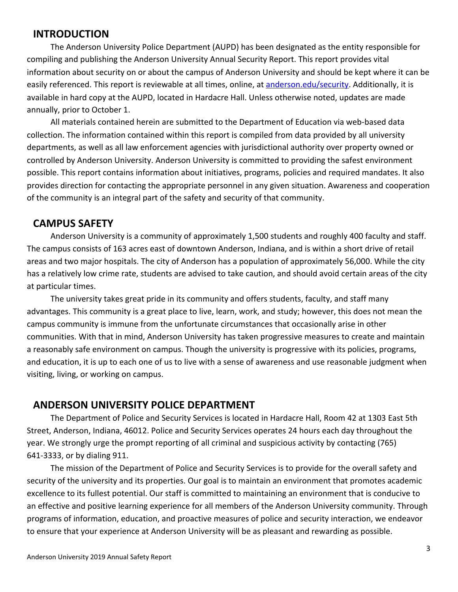### **INTRODUCTION**

The Anderson University Police Department (AUPD) has been designated as the entity responsible for compiling and publishing the Anderson University Annual Security Report. This report provides vital information about security on or about the campus of Anderson University and should be kept where it can be easily referenced. This report is reviewable at all times, online, at [anderson.edu/security](http://anderson.edu/security). Additionally, it is available in hard copy at the AUPD, located in Hardacre Hall. Unless otherwise noted, updates are made annually, prior to October 1.

All materials contained herein are submitted to the Department of Education via web-based data collection. The information contained within this report is compiled from data provided by all university departments, as well as all law enforcement agencies with jurisdictional authority over property owned or controlled by Anderson University. Anderson University is committed to providing the safest environment possible. This report contains information about initiatives, programs, policies and required mandates. It also provides direction for contacting the appropriate personnel in any given situation. Awareness and cooperation of the community is an integral part of the safety and security of that community.

### **CAMPUS SAFETY**

Anderson University is a community of approximately 1,500 students and roughly 400 faculty and staff. The campus consists of 163 acres east of downtown Anderson, Indiana, and is within a short drive of retail areas and two major hospitals. The city of Anderson has a population of approximately 56,000. While the city has a relatively low crime rate, students are advised to take caution, and should avoid certain areas of the city at particular times.

The university takes great pride in its community and offers students, faculty, and staff many advantages. This community is a great place to live, learn, work, and study; however, this does not mean the campus community is immune from the unfortunate circumstances that occasionally arise in other communities. With that in mind, Anderson University has taken progressive measures to create and maintain a reasonably safe environment on campus. Though the university is progressive with its policies, programs, and education, it is up to each one of us to live with a sense of awareness and use reasonable judgment when visiting, living, or working on campus.

### **ANDERSON UNIVERSITY POLICE DEPARTMENT**

The Department of Police and Security Services is located in Hardacre Hall, Room 42 at 1303 East 5th Street, Anderson, Indiana, 46012. Police and Security Services operates 24 hours each day throughout the year. We strongly urge the prompt reporting of all criminal and suspicious activity by contacting (765) 641-3333, or by dialing 911.

The mission of the Department of Police and Security Services is to provide for the overall safety and security of the university and its properties. Our goal is to maintain an environment that promotes academic excellence to its fullest potential. Our staff is committed to maintaining an environment that is conducive to an effective and positive learning experience for all members of the Anderson University community. Through programs of information, education, and proactive measures of police and security interaction, we endeavor to ensure that your experience at Anderson University will be as pleasant and rewarding as possible.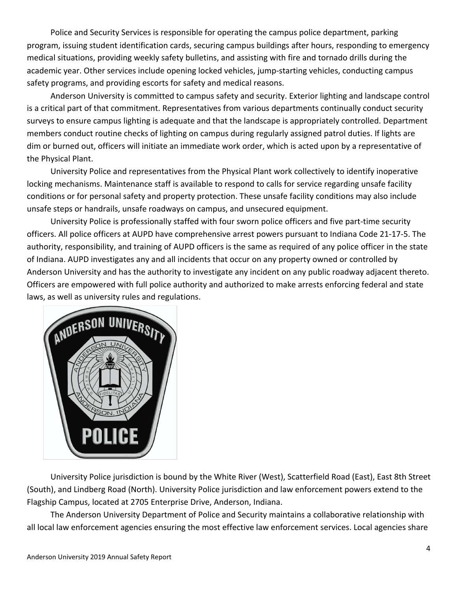Police and Security Services is responsible for operating the campus police department, parking program, issuing student identification cards, securing campus buildings after hours, responding to emergency medical situations, providing weekly safety bulletins, and assisting with fire and tornado drills during the academic year. Other services include opening locked vehicles, jump-starting vehicles, conducting campus safety programs, and providing escorts for safety and medical reasons.

Anderson University is committed to campus safety and security. Exterior lighting and landscape control is a critical part of that commitment. Representatives from various departments continually conduct security surveys to ensure campus lighting is adequate and that the landscape is appropriately controlled. Department members conduct routine checks of lighting on campus during regularly assigned patrol duties. If lights are dim or burned out, officers will initiate an immediate work order, which is acted upon by a representative of the Physical Plant.

University Police and representatives from the Physical Plant work collectively to identify inoperative locking mechanisms. Maintenance staff is available to respond to calls for service regarding unsafe facility conditions or for personal safety and property protection. These unsafe facility conditions may also include unsafe steps or handrails, unsafe roadways on campus, and unsecured equipment.

University Police is professionally staffed with four sworn police officers and five part-time security officers. All police officers at AUPD have comprehensive arrest powers pursuant to Indiana Code 21-17-5. The authority, responsibility, and training of AUPD officers is the same as required of any police officer in the state of Indiana. AUPD investigates any and all incidents that occur on any property owned or controlled by Anderson University and has the authority to investigate any incident on any public roadway adjacent thereto. Officers are empowered with full police authority and authorized to make arrests enforcing federal and state laws, as well as university rules and regulations.



University Police jurisdiction is bound by the White River (West), Scatterfield Road (East), East 8th Street (South), and Lindberg Road (North). University Police jurisdiction and law enforcement powers extend to the Flagship Campus, located at 2705 Enterprise Drive, Anderson, Indiana.

The Anderson University Department of Police and Security maintains a collaborative relationship with all local law enforcement agencies ensuring the most effective law enforcement services. Local agencies share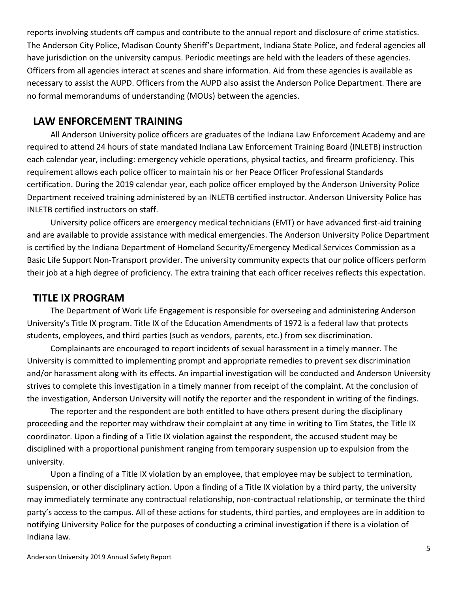reports involving students off campus and contribute to the annual report and disclosure of crime statistics. The Anderson City Police, Madison County Sheriff's Department, Indiana State Police, and federal agencies all have jurisdiction on the university campus. Periodic meetings are held with the leaders of these agencies. Officers from all agencies interact at scenes and share information. Aid from these agencies is available as necessary to assist the AUPD. Officers from the AUPD also assist the Anderson Police Department. There are no formal memorandums of understanding (MOUs) between the agencies.

#### **LAW ENFORCEMENT TRAINING**

All Anderson University police officers are graduates of the Indiana Law Enforcement Academy and are required to attend 24 hours of state mandated Indiana Law Enforcement Training Board (INLETB) instruction each calendar year, including: emergency vehicle operations, physical tactics, and firearm proficiency. This requirement allows each police officer to maintain his or her Peace Officer Professional Standards certification. During the 2019 calendar year, each police officer employed by the Anderson University Police Department received training administered by an INLETB certified instructor. Anderson University Police has INLETB certified instructors on staff.

University police officers are emergency medical technicians (EMT) or have advanced first-aid training and are available to provide assistance with medical emergencies. The Anderson University Police Department is certified by the Indiana Department of Homeland Security/Emergency Medical Services Commission as a Basic Life Support Non-Transport provider. The university community expects that our police officers perform their job at a high degree of proficiency. The extra training that each officer receives reflects this expectation.

#### **TITLE IX PROGRAM**

The Department of Work Life Engagement is responsible for overseeing and administering Anderson University's Title IX program. Title IX of the Education Amendments of 1972 is a federal law that protects students, employees, and third parties (such as vendors, parents, etc.) from sex discrimination.

Complainants are encouraged to report incidents of sexual harassment in a timely manner. The University is committed to implementing prompt and appropriate remedies to prevent sex discrimination and/or harassment along with its effects. An impartial investigation will be conducted and Anderson University strives to complete this investigation in a timely manner from receipt of the complaint. At the conclusion of the investigation, Anderson University will notify the reporter and the respondent in writing of the findings.

The reporter and the respondent are both entitled to have others present during the disciplinary proceeding and the reporter may withdraw their complaint at any time in writing to Tim States, the Title IX coordinator. Upon a finding of a Title IX violation against the respondent, the accused student may be disciplined with a proportional punishment ranging from temporary suspension up to expulsion from the university.

Upon a finding of a Title IX violation by an employee, that employee may be subject to termination, suspension, or other disciplinary action. Upon a finding of a Title IX violation by a third party, the university may immediately terminate any contractual relationship, non-contractual relationship, or terminate the third party's access to the campus. All of these actions for students, third parties, and employees are in addition to notifying University Police for the purposes of conducting a criminal investigation if there is a violation of Indiana law.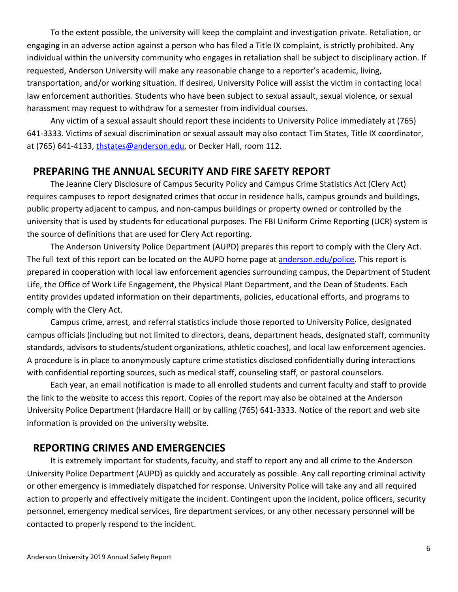To the extent possible, the university will keep the complaint and investigation private. Retaliation, or engaging in an adverse action against a person who has filed a Title IX complaint, is strictly prohibited. Any individual within the university community who engages in retaliation shall be subject to disciplinary action. If requested, Anderson University will make any reasonable change to a reporter's academic, living, transportation, and/or working situation. If desired, University Police will assist the victim in contacting local law enforcement authorities. Students who have been subject to sexual assault, sexual violence, or sexual harassment may request to withdraw for a semester from individual courses.

Any victim of a sexual assault should report these incidents to University Police immediately at (765) 641-3333. Victims of sexual discrimination or sexual assault may also contact Tim States, Title IX coordinator, at (765) 641-4133, [thstates@anderson.edu](mailto:srmcclure@anderson.edu), or Decker Hall, room 112.

### **PREPARING THE ANNUAL SECURITY AND FIRE SAFETY REPORT**

The Jeanne Clery Disclosure of Campus Security Policy and Campus Crime Statistics Act (Clery Act) requires campuses to report designated crimes that occur in residence halls, campus grounds and buildings, public property adjacent to campus, and non-campus buildings or property owned or controlled by the university that is used by students for educational purposes. The FBI Uniform Crime Reporting (UCR) system is the source of definitions that are used for Clery Act reporting.

The Anderson University Police Department (AUPD) prepares this report to comply with the Clery Act. The full text of this report can be located on the AUPD home page at [anderson.edu/police.](http://anderson.edu/police) This report is prepared in cooperation with local law enforcement agencies surrounding campus, the Department of Student Life, the Office of Work Life Engagement, the Physical Plant Department, and the Dean of Students. Each entity provides updated information on their departments, policies, educational efforts, and programs to comply with the Clery Act.

Campus crime, arrest, and referral statistics include those reported to University Police, designated campus officials (including but not limited to directors, deans, department heads, designated staff, community standards, advisors to students/student organizations, athletic coaches), and local law enforcement agencies. A procedure is in place to anonymously capture crime statistics disclosed confidentially during interactions with confidential reporting sources, such as medical staff, counseling staff, or pastoral counselors.

Each year, an email notification is made to all enrolled students and current faculty and staff to provide the link to the website to access this report. Copies of the report may also be obtained at the Anderson University Police Department (Hardacre Hall) or by calling (765) 641-3333. Notice of the report and web site information is provided on the university website.

### **REPORTING CRIMES AND EMERGENCIES**

It is extremely important for students, faculty, and staff to report any and all crime to the Anderson University Police Department (AUPD) as quickly and accurately as possible. Any call reporting criminal activity or other emergency is immediately dispatched for response. University Police will take any and all required action to properly and effectively mitigate the incident. Contingent upon the incident, police officers, security personnel, emergency medical services, fire department services, or any other necessary personnel will be contacted to properly respond to the incident.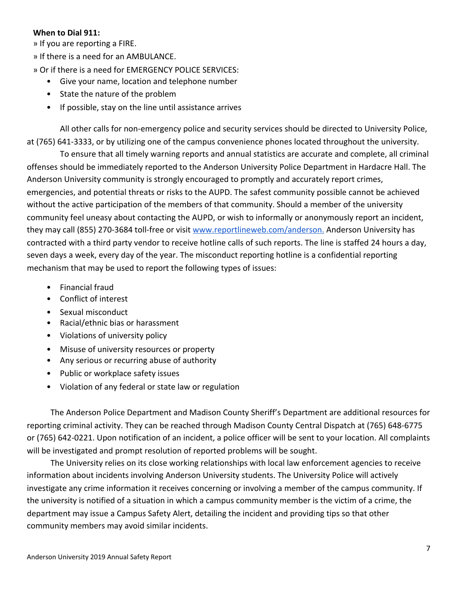#### **When to Dial 911:**

» If you are reporting a FIRE.

» If there is a need for an AMBULANCE.

» Or if there is a need for EMERGENCY POLICE SERVICES:

- Give your name, location and telephone number
- State the nature of the problem
- If possible, stay on the line until assistance arrives

All other calls for non-emergency police and security services should be directed to University Police, at (765) 641-3333, or by utilizing one of the campus convenience phones located throughout the university.

To ensure that all timely warning reports and annual statistics are accurate and complete, all criminal offenses should be immediately reported to the Anderson University Police Department in Hardacre Hall. The Anderson University community is strongly encouraged to promptly and accurately report crimes, emergencies, and potential threats or risks to the AUPD. The safest community possible cannot be achieved without the active participation of the members of that community. Should a member of the university community feel uneasy about contacting the AUPD, or wish to informally or anonymously report an incident, they may call (855) 270-3684 toll-free or visit [www.reportlineweb.com/anderson.](http://www.reportlineweb.com/anderson) Anderson University has contracted with a third party vendor to receive hotline calls of such reports. The line is staffed 24 hours a day, seven days a week, every day of the year. The misconduct reporting hotline is a confidential reporting mechanism that may be used to report the following types of issues:

- Financial fraud
- Conflict of interest
- Sexual misconduct
- Racial/ethnic bias or harassment
- Violations of university policy
- Misuse of university resources or property
- Any serious or recurring abuse of authority
- Public or workplace safety issues
- Violation of any federal or state law or regulation

The Anderson Police Department and Madison County Sheriff's Department are additional resources for reporting criminal activity. They can be reached through Madison County Central Dispatch at (765) 648-6775 or (765) 642-0221. Upon notification of an incident, a police officer will be sent to your location. All complaints will be investigated and prompt resolution of reported problems will be sought.

The University relies on its close working relationships with local law enforcement agencies to receive information about incidents involving Anderson University students. The University Police will actively investigate any crime information it receives concerning or involving a member of the campus community. If the university is notified of a situation in which a campus community member is the victim of a crime, the department may issue a Campus Safety Alert, detailing the incident and providing tips so that other community members may avoid similar incidents.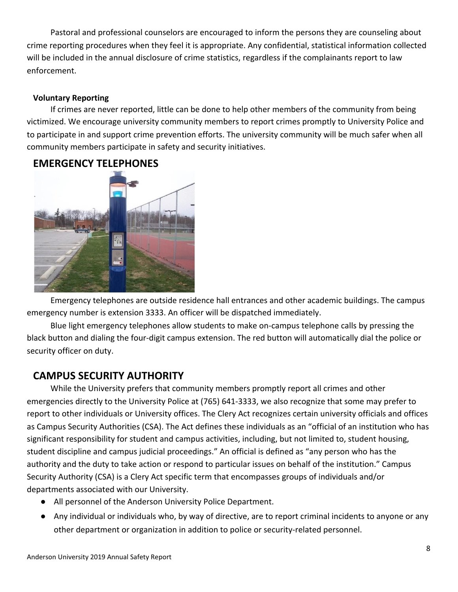Pastoral and professional counselors are encouraged to inform the persons they are counseling about crime reporting procedures when they feel it is appropriate. Any confidential, statistical information collected will be included in the annual disclosure of crime statistics, regardless if the complainants report to law enforcement.

#### **Voluntary Reporting**

If crimes are never reported, little can be done to help other members of the community from being victimized. We encourage university community members to report crimes promptly to University Police and to participate in and support crime prevention efforts. The university community will be much safer when all community members participate in safety and security initiatives.



### **EMERGENCY TELEPHONES**

Emergency telephones are outside residence hall entrances and other academic buildings. The campus emergency number is extension 3333. An officer will be dispatched immediately.

Blue light emergency telephones allow students to make on-campus telephone calls by pressing the black button and dialing the four-digit campus extension. The red button will automatically dial the police or security officer on duty.

### **CAMPUS SECURITY AUTHORITY**

While the University prefers that community members promptly report all crimes and other emergencies directly to the University Police at (765) 641-3333, we also recognize that some may prefer to report to other individuals or University offices. The Clery Act recognizes certain university officials and offices as Campus Security Authorities (CSA). The Act defines these individuals as an "official of an institution who has significant responsibility for student and campus activities, including, but not limited to, student housing, student discipline and campus judicial proceedings." An official is defined as "any person who has the authority and the duty to take action or respond to particular issues on behalf of the institution." Campus Security Authority (CSA) is a Clery Act specific term that encompasses groups of individuals and/or departments associated with our University.

- All personnel of the Anderson University Police Department.
- Any individual or individuals who, by way of directive, are to report criminal incidents to anyone or any other department or organization in addition to police or security-related personnel.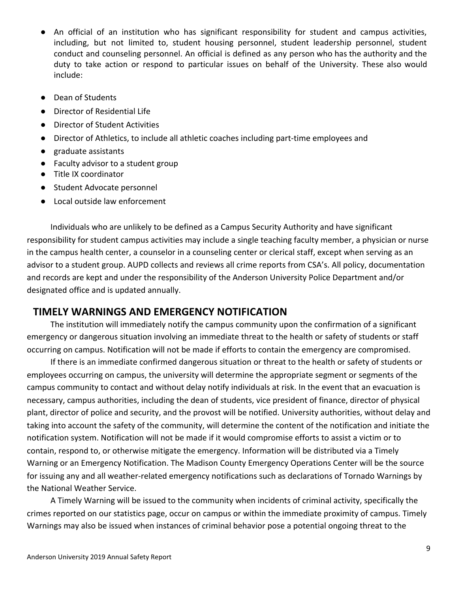- An official of an institution who has significant responsibility for student and campus activities, including, but not limited to, student housing personnel, student leadership personnel, student conduct and counseling personnel. An official is defined as any person who has the authority and the duty to take action or respond to particular issues on behalf of the University. These also would include:
- Dean of Students
- Director of Residential Life
- Director of Student Activities
- Director of Athletics, to include all athletic coaches including part-time employees and
- graduate assistants
- Faculty advisor to a student group
- Title IX coordinator
- Student Advocate personnel
- Local outside law enforcement

Individuals who are unlikely to be defined as a Campus Security Authority and have significant responsibility for student campus activities may include a single teaching faculty member, a physician or nurse in the campus health center, a counselor in a counseling center or clerical staff, except when serving as an advisor to a student group. AUPD collects and reviews all crime reports from CSA's. All policy, documentation and records are kept and under the responsibility of the Anderson University Police Department and/or designated office and is updated annually.

### **TIMELY WARNINGS AND EMERGENCY NOTIFICATION**

The institution will immediately notify the campus community upon the confirmation of a significant emergency or dangerous situation involving an immediate threat to the health or safety of students or staff occurring on campus. Notification will not be made if efforts to contain the emergency are compromised.

If there is an immediate confirmed dangerous situation or threat to the health or safety of students or employees occurring on campus, the university will determine the appropriate segment or segments of the campus community to contact and without delay notify individuals at risk. In the event that an evacuation is necessary, campus authorities, including the dean of students, vice president of finance, director of physical plant, director of police and security, and the provost will be notified. University authorities, without delay and taking into account the safety of the community, will determine the content of the notification and initiate the notification system. Notification will not be made if it would compromise efforts to assist a victim or to contain, respond to, or otherwise mitigate the emergency. Information will be distributed via a Timely Warning or an Emergency Notification. The Madison County Emergency Operations Center will be the source for issuing any and all weather-related emergency notifications such as declarations of Tornado Warnings by the National Weather Service.

A Timely Warning will be issued to the community when incidents of criminal activity, specifically the crimes reported on our statistics page, occur on campus or within the immediate proximity of campus. Timely Warnings may also be issued when instances of criminal behavior pose a potential ongoing threat to the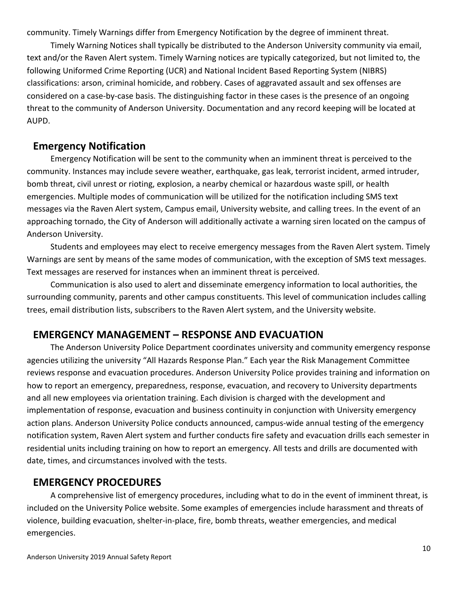community. Timely Warnings differ from Emergency Notification by the degree of imminent threat.

Timely Warning Notices shall typically be distributed to the Anderson University community via email, text and/or the Raven Alert system. Timely Warning notices are typically categorized, but not limited to, the following Uniformed Crime Reporting (UCR) and National Incident Based Reporting System (NIBRS) classifications: arson, criminal homicide, and robbery. Cases of aggravated assault and sex offenses are considered on a case-by-case basis. The distinguishing factor in these cases is the presence of an ongoing threat to the community of Anderson University. Documentation and any record keeping will be located at AUPD.

#### **Emergency Notification**

Emergency Notification will be sent to the community when an imminent threat is perceived to the community. Instances may include severe weather, earthquake, gas leak, terrorist incident, armed intruder, bomb threat, civil unrest or rioting, explosion, a nearby chemical or hazardous waste spill, or health emergencies. Multiple modes of communication will be utilized for the notification including SMS text messages via the Raven Alert system, Campus email, University website, and calling trees. In the event of an approaching tornado, the City of Anderson will additionally activate a warning siren located on the campus of Anderson University.

Students and employees may elect to receive emergency messages from the Raven Alert system. Timely Warnings are sent by means of the same modes of communication, with the exception of SMS text messages. Text messages are reserved for instances when an imminent threat is perceived.

Communication is also used to alert and disseminate emergency information to local authorities, the surrounding community, parents and other campus constituents. This level of communication includes calling trees, email distribution lists, subscribers to the Raven Alert system, and the University website.

### **EMERGENCY MANAGEMENT – RESPONSE AND EVACUATION**

The Anderson University Police Department coordinates university and community emergency response agencies utilizing the university "All Hazards Response Plan." Each year the Risk Management Committee reviews response and evacuation procedures. Anderson University Police provides training and information on how to report an emergency, preparedness, response, evacuation, and recovery to University departments and all new employees via orientation training. Each division is charged with the development and implementation of response, evacuation and business continuity in conjunction with University emergency action plans. Anderson University Police conducts announced, campus-wide annual testing of the emergency notification system, Raven Alert system and further conducts fire safety and evacuation drills each semester in residential units including training on how to report an emergency. All tests and drills are documented with date, times, and circumstances involved with the tests.

#### **EMERGENCY PROCEDURES**

A comprehensive list of emergency procedures, including what to do in the event of imminent threat, is included on the University Police website. Some examples of emergencies include harassment and threats of violence, building evacuation, shelter-in-place, fire, bomb threats, weather emergencies, and medical emergencies.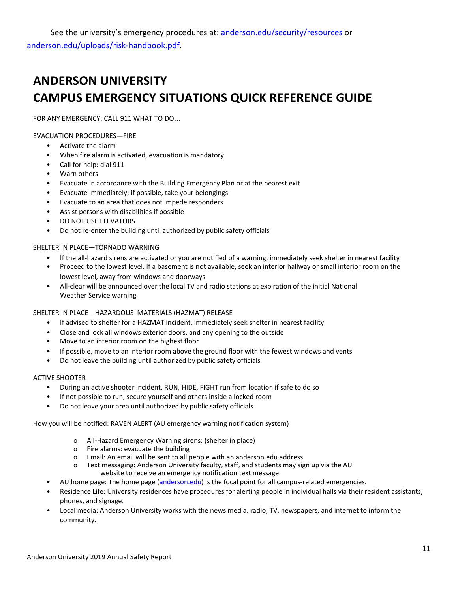# **ANDERSON UNIVERSITY CAMPUS EMERGENCY SITUATIONS QUICK REFERENCE GUIDE**

FOR ANY EMERGENCY: CALL 911 WHAT TO DO…

EVACUATION PROCEDURES—FIRE

- Activate the alarm
- When fire alarm is activated, evacuation is mandatory
- Call for help: dial 911
- Warn others
- Evacuate in accordance with the Building Emergency Plan or at the nearest exit
- Evacuate immediately; if possible, take your belongings
- Evacuate to an area that does not impede responders
- Assist persons with disabilities if possible
- DO NOT USE ELEVATORS
- Do not re-enter the building until authorized by public safety officials

#### SHELTER IN PLACE—TORNADO WARNING

- If the all-hazard sirens are activated or you are notified of a warning, immediately seek shelter in nearest facility
- Proceed to the lowest level. If a basement is not available, seek an interior hallway or small interior room on the lowest level, away from windows and doorways
- All-clear will be announced over the local TV and radio stations at expiration of the initial National Weather Service warning

#### SHELTER IN PLACE—HAZARDOUS MATERIALS (HAZMAT) RELEASE

- If advised to shelter for a HAZMAT incident, immediately seek shelter in nearest facility
- Close and lock all windows exterior doors, and any opening to the outside
- Move to an interior room on the highest floor
- If possible, move to an interior room above the ground floor with the fewest windows and vents
- Do not leave the building until authorized by public safety officials

#### ACTIVE SHOOTER

- During an active shooter incident, RUN, HIDE, FIGHT run from location if safe to do so
- If not possible to run, secure yourself and others inside a locked room
- Do not leave your area until authorized by public safety officials

How you will be notified: RAVEN ALERT (AU emergency warning notification system)

- o All-Hazard Emergency Warning sirens: (shelter in place)
- o Fire alarms: evacuate the building
- o Email: An email will be sent to all people with an anderson.edu address
- o Text messaging: Anderson University faculty, staff, and students may sign up via the AU website to receive an emergency notification text message
- AU home page: The home page [\(anderson.edu](http://anderson.edu/)) is the focal point for all campus-related emergencies.
- Residence Life: University residences have procedures for alerting people in individual halls via their resident assistants, phones, and signage.
- Local media: Anderson University works with the news media, radio, TV, newspapers, and internet to inform the community.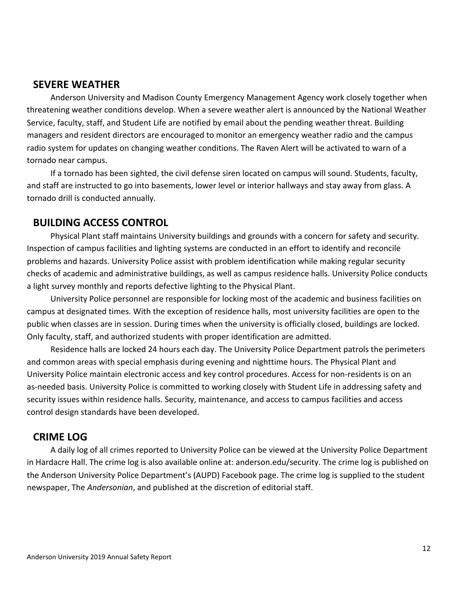#### **SEVERE WEATHER**

Anderson University and Madison County Emergency Management Agency work closely together when threatening weather conditions develop. When a severe weather alert is announced by the National Weather Service, faculty, staff, and Student Life are notified by email about the pending weather threat. Building managers and resident directors are encouraged to monitor an emergency weather radio and the campus radio system for updates on changing weather conditions. The Raven Alert will be activated to warn of a tornado near campus.

If a tornado has been sighted, the civil defense siren located on campus will sound. Students, faculty, and staff are instructed to go into basements, lower level or interior hallways and stay away from glass. A tornado drill is conducted annually.

### **BUILDING ACCESS CONTROL**

Physical Plant staff maintains University buildings and grounds with a concern for safety and security. Inspection of campus facilities and lighting systems are conducted in an effort to identify and reconcile problems and hazards. University Police assist with problem identification while making regular security checks of academic and administrative buildings, as well as campus residence halls. University Police conducts a light survey monthly and reports defective lighting to the Physical Plant.

University Police personnel are responsible for locking most of the academic and business facilities on campus at designated times. With the exception of residence halls, most university facilities are open to the public when classes are in session. During times when the university is officially closed, buildings are locked. Only faculty, staff, and authorized students with proper identification are admitted.

Residence halls are locked 24 hours each day. The University Police Department patrols the perimeters and common areas with special emphasis during evening and nighttime hours. The Physical Plant and University Police maintain electronic access and key control procedures. Access for non-residents is on an as-needed basis. University Police is committed to working closely with Student Life in addressing safety and security issues within residence halls. Security, maintenance, and access to campus facilities and access control design standards have been developed.

### **CRIME LOG**

A daily log of all crimes reported to University Police can be viewed at the University Police Department in Hardacre Hall. The crime log is also available online at: anderson.edu/security. The crime log is published on the Anderson University Police Department's (AUPD) Facebook page. The crime log is supplied to the student newspaper, The *Andersonian*, and published at the discretion of editorial staff.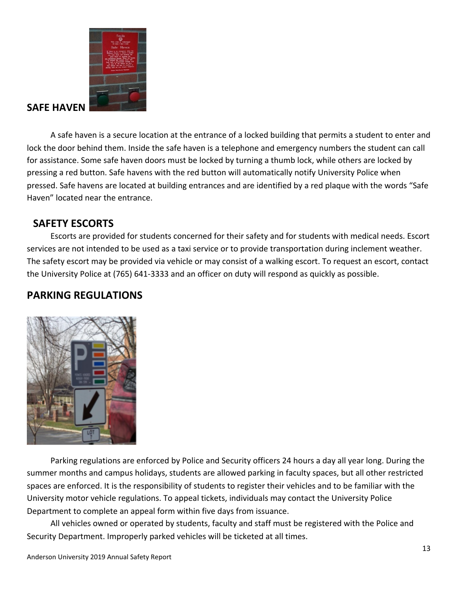

## **SAFE HAVEN**

A safe haven is a secure location at the entrance of a locked building that permits a student to enter and lock the door behind them. Inside the safe haven is a telephone and emergency numbers the student can call for assistance. Some safe haven doors must be locked by turning a thumb lock, while others are locked by pressing a red button. Safe havens with the red button will automatically notify University Police when pressed. Safe havens are located at building entrances and are identified by a red plaque with the words "Safe Haven" located near the entrance.

### **SAFETY ESCORTS**

Escorts are provided for students concerned for their safety and for students with medical needs. Escort services are not intended to be used as a taxi service or to provide transportation during inclement weather. The safety escort may be provided via vehicle or may consist of a walking escort. To request an escort, contact the University Police at (765) 641-3333 and an officer on duty will respond as quickly as possible.

## **PARKING REGULATIONS**



Parking regulations are enforced by Police and Security officers 24 hours a day all year long. During the summer months and campus holidays, students are allowed parking in faculty spaces, but all other restricted spaces are enforced. It is the responsibility of students to register their vehicles and to be familiar with the University motor vehicle regulations. To appeal tickets, individuals may contact the University Police Department to complete an appeal form within five days from issuance.

All vehicles owned or operated by students, faculty and staff must be registered with the Police and Security Department. Improperly parked vehicles will be ticketed at all times.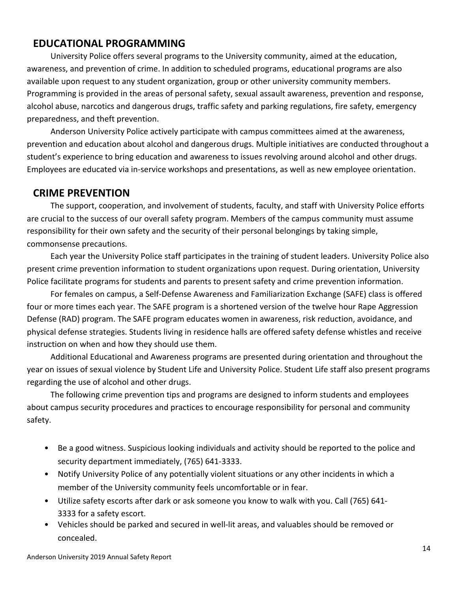### **EDUCATIONAL PROGRAMMING**

University Police offers several programs to the University community, aimed at the education, awareness, and prevention of crime. In addition to scheduled programs, educational programs are also available upon request to any student organization, group or other university community members. Programming is provided in the areas of personal safety, sexual assault awareness, prevention and response, alcohol abuse, narcotics and dangerous drugs, traffic safety and parking regulations, fire safety, emergency preparedness, and theft prevention.

Anderson University Police actively participate with campus committees aimed at the awareness, prevention and education about alcohol and dangerous drugs. Multiple initiatives are conducted throughout a student's experience to bring education and awareness to issues revolving around alcohol and other drugs. Employees are educated via in-service workshops and presentations, as well as new employee orientation.

#### **CRIME PREVENTION**

The support, cooperation, and involvement of students, faculty, and staff with University Police efforts are crucial to the success of our overall safety program. Members of the campus community must assume responsibility for their own safety and the security of their personal belongings by taking simple, commonsense precautions.

Each year the University Police staff participates in the training of student leaders. University Police also present crime prevention information to student organizations upon request. During orientation, University Police facilitate programs for students and parents to present safety and crime prevention information.

For females on campus, a Self-Defense Awareness and Familiarization Exchange (SAFE) class is offered four or more times each year. The SAFE program is a shortened version of the twelve hour Rape Aggression Defense (RAD) program. The SAFE program educates women in awareness, risk reduction, avoidance, and physical defense strategies. Students living in residence halls are offered safety defense whistles and receive instruction on when and how they should use them.

Additional Educational and Awareness programs are presented during orientation and throughout the year on issues of sexual violence by Student Life and University Police. Student Life staff also present programs regarding the use of alcohol and other drugs.

The following crime prevention tips and programs are designed to inform students and employees about campus security procedures and practices to encourage responsibility for personal and community safety.

- Be a good witness. Suspicious looking individuals and activity should be reported to the police and security department immediately, (765) 641-3333.
- Notify University Police of any potentially violent situations or any other incidents in which a member of the University community feels uncomfortable or in fear.
- Utilize safety escorts after dark or ask someone you know to walk with you. Call (765) 641- 3333 for a safety escort.
- Vehicles should be parked and secured in well-lit areas, and valuables should be removed or concealed.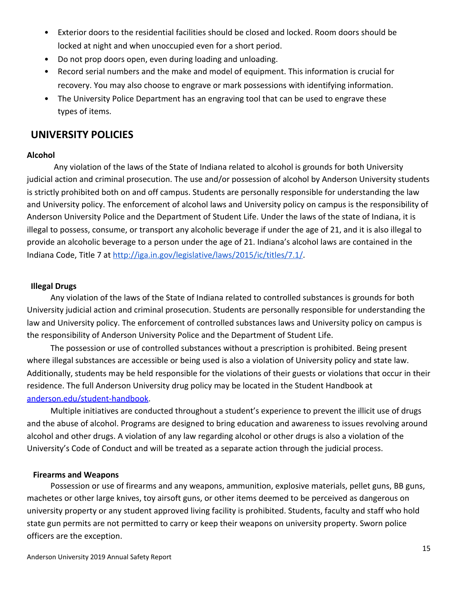- Exterior doors to the residential facilities should be closed and locked. Room doors should be locked at night and when unoccupied even for a short period.
- Do not prop doors open, even during loading and unloading.
- Record serial numbers and the make and model of equipment. This information is crucial for recovery. You may also choose to engrave or mark possessions with identifying information.
- The University Police Department has an engraving tool that can be used to engrave these types of items.

## **UNIVERSITY POLICIES**

#### **Alcohol**

Any violation of the laws of the State of Indiana related to alcohol is grounds for both University judicial action and criminal prosecution. The use and/or possession of alcohol by Anderson University students is strictly prohibited both on and off campus. Students are personally responsible for understanding the law and University policy. The enforcement of alcohol laws and University policy on campus is the responsibility of Anderson University Police and the Department of Student Life. Under the laws of the state of Indiana, it is illegal to possess, consume, or transport any alcoholic beverage if under the age of 21, and it is also illegal to provide an alcoholic beverage to a person under the age of 21. Indiana's alcohol laws are contained in the Indiana Code, Title 7 at <http://iga.in.gov/legislative/laws/2015/ic/titles/7.1/>.

#### **Illegal Drugs**

Any violation of the laws of the State of Indiana related to controlled substances is grounds for both University judicial action and criminal prosecution. Students are personally responsible for understanding the law and University policy. The enforcement of controlled substances laws and University policy on campus is the responsibility of Anderson University Police and the Department of Student Life.

The possession or use of controlled substances without a prescription is prohibited. Being present where illegal substances are accessible or being used is also a violation of University policy and state law. Additionally, students may be held responsible for the violations of their guests or violations that occur in their residence. The full Anderson University drug policy may be located in the Student Handbook at [anderson.edu/student-handbook.](http://anderson.edu/student-handbook)

Multiple initiatives are conducted throughout a student's experience to prevent the illicit use of drugs and the abuse of alcohol. Programs are designed to bring education and awareness to issues revolving around alcohol and other drugs. A violation of any law regarding alcohol or other drugs is also a violation of the University's Code of Conduct and will be treated as a separate action through the judicial process.

#### **Firearms and Weapons**

Possession or use of firearms and any weapons, ammunition, explosive materials, pellet guns, BB guns, machetes or other large knives, toy airsoft guns, or other items deemed to be perceived as dangerous on university property or any student approved living facility is prohibited. Students, faculty and staff who hold state gun permits are not permitted to carry or keep their weapons on university property. Sworn police officers are the exception.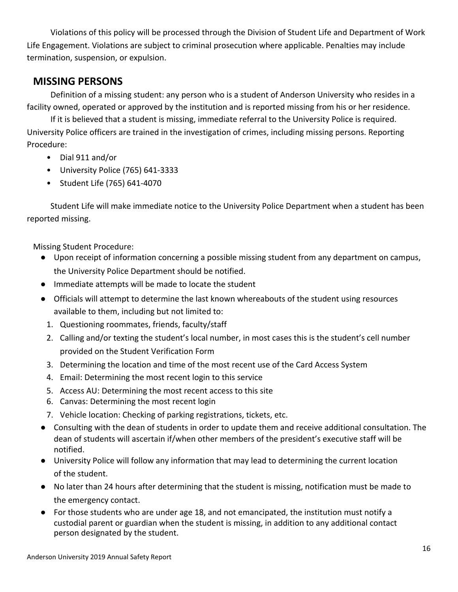Violations of this policy will be processed through the Division of Student Life and Department of Work Life Engagement. Violations are subject to criminal prosecution where applicable. Penalties may include termination, suspension, or expulsion.

### **MISSING PERSONS**

Definition of a missing student: any person who is a student of Anderson University who resides in a facility owned, operated or approved by the institution and is reported missing from his or her residence.

If it is believed that a student is missing, immediate referral to the University Police is required. University Police officers are trained in the investigation of crimes, including missing persons. Reporting Procedure:

- Dial 911 and/or
- University Police (765) 641-3333
- Student Life (765) 641-4070

Student Life will make immediate notice to the University Police Department when a student has been reported missing.

Missing Student Procedure:

- Upon receipt of information concerning a possible missing student from any department on campus, the University Police Department should be notified.
- Immediate attempts will be made to locate the student
- Officials will attempt to determine the last known whereabouts of the student using resources available to them, including but not limited to:
	- 1. Questioning roommates, friends, faculty/staff
	- 2. Calling and/or texting the student's local number, in most cases this is the student's cell number provided on the Student Verification Form
	- 3. Determining the location and time of the most recent use of the Card Access System
	- 4. Email: Determining the most recent login to this service
	- 5. Access AU: Determining the most recent access to this site
	- 6. Canvas: Determining the most recent login
	- 7. Vehicle location: Checking of parking registrations, tickets, etc.
- Consulting with the dean of students in order to update them and receive additional consultation. The dean of students will ascertain if/when other members of the president's executive staff will be notified.
- University Police will follow any information that may lead to determining the current location of the student.
- No later than 24 hours after determining that the student is missing, notification must be made to the emergency contact.
- For those students who are under age 18, and not emancipated, the institution must notify a custodial parent or guardian when the student is missing, in addition to any additional contact person designated by the student.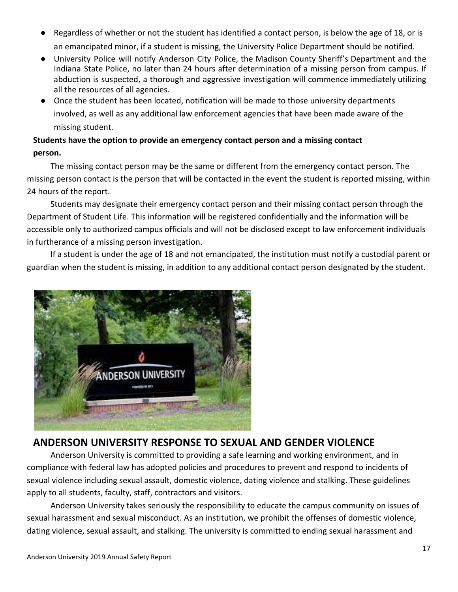- Regardless of whether or not the student has identified a contact person, is below the age of 18, or is an emancipated minor, if a student is missing, the University Police Department should be notified.
- University Police will notify Anderson City Police, the Madison County Sheriff's Department and the Indiana State Police, no later than 24 hours after determination of a missing person from campus. If abduction is suspected, a thorough and aggressive investigation will commence immediately utilizing all the resources of all agencies.
- Once the student has been located, notification will be made to those university departments involved, as well as any additional law enforcement agencies that have been made aware of the missing student.

### **Students have the option to provide an emergency contact person and a missing contact person.**

The missing contact person may be the same or different from the emergency contact person. The missing person contact is the person that will be contacted in the event the student is reported missing, within 24 hours of the report.

Students may designate their emergency contact person and their missing contact person through the Department of Student Life. This information will be registered confidentially and the information will be accessible only to authorized campus officials and will not be disclosed except to law enforcement individuals in furtherance of a missing person investigation.

If a student is under the age of 18 and not emancipated, the institution must notify a custodial parent or guardian when the student is missing, in addition to any additional contact person designated by the student.



### **ANDERSON UNIVERSITY RESPONSE TO SEXUAL AND GENDER VIOLENCE**

Anderson University is committed to providing a safe learning and working environment, and in compliance with federal law has adopted policies and procedures to prevent and respond to incidents of sexual violence including sexual assault, domestic violence, dating violence and stalking. These guidelines apply to all students, faculty, staff, contractors and visitors.

Anderson University takes seriously the responsibility to educate the campus community on issues of sexual harassment and sexual misconduct. As an institution, we prohibit the offenses of domestic violence, dating violence, sexual assault, and stalking. The university is committed to ending sexual harassment and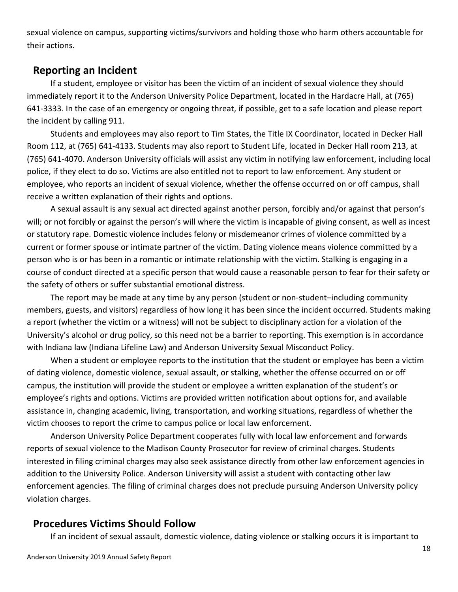sexual violence on campus, supporting victims/survivors and holding those who harm others accountable for their actions.

#### **Reporting an Incident**

If a student, employee or visitor has been the victim of an incident of sexual violence they should immediately report it to the Anderson University Police Department, located in the Hardacre Hall, at (765) 641-3333. In the case of an emergency or ongoing threat, if possible, get to a safe location and please report the incident by calling 911.

Students and employees may also report to Tim States, the Title IX Coordinator, located in Decker Hall Room 112, at (765) 641-4133. Students may also report to Student Life, located in Decker Hall room 213, at (765) 641-4070. Anderson University officials will assist any victim in notifying law enforcement, including local police, if they elect to do so. Victims are also entitled not to report to law enforcement. Any student or employee, who reports an incident of sexual violence, whether the offense occurred on or off campus, shall receive a written explanation of their rights and options.

A sexual assault is any sexual act directed against another person, forcibly and/or against that person's will; or not forcibly or against the person's will where the victim is incapable of giving consent, as well as incest or statutory rape. Domestic violence includes felony or misdemeanor crimes of violence committed by a current or former spouse or intimate partner of the victim. Dating violence means violence committed by a person who is or has been in a romantic or intimate relationship with the victim. Stalking is engaging in a course of conduct directed at a specific person that would cause a reasonable person to fear for their safety or the safety of others or suffer substantial emotional distress.

The report may be made at any time by any person (student or non-student–including community members, guests, and visitors) regardless of how long it has been since the incident occurred. Students making a report (whether the victim or a witness) will not be subject to disciplinary action for a violation of the University's alcohol or drug policy, so this need not be a barrier to reporting. This exemption is in accordance with Indiana law (Indiana Lifeline Law) and Anderson University Sexual Misconduct Policy.

When a student or employee reports to the institution that the student or employee has been a victim of dating violence, domestic violence, sexual assault, or stalking, whether the offense occurred on or off campus, the institution will provide the student or employee a written explanation of the student's or employee's rights and options. Victims are provided written notification about options for, and available assistance in, changing academic, living, transportation, and working situations, regardless of whether the victim chooses to report the crime to campus police or local law enforcement.

Anderson University Police Department cooperates fully with local law enforcement and forwards reports of sexual violence to the Madison County Prosecutor for review of criminal charges. Students interested in filing criminal charges may also seek assistance directly from other law enforcement agencies in addition to the University Police. Anderson University will assist a student with contacting other law enforcement agencies. The filing of criminal charges does not preclude pursuing Anderson University policy violation charges.

#### **Procedures Victims Should Follow**

If an incident of sexual assault, domestic violence, dating violence or stalking occurs it is important to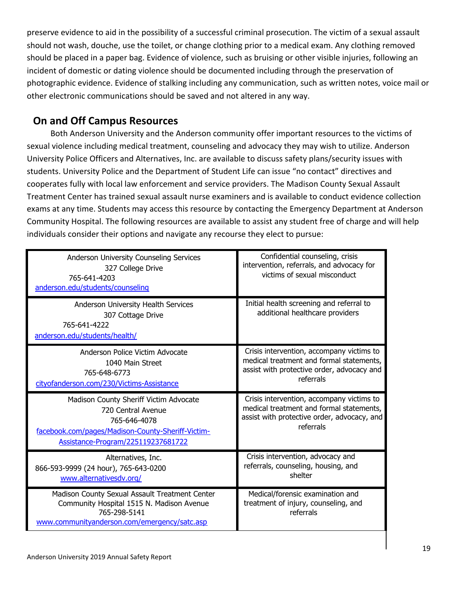preserve evidence to aid in the possibility of a successful criminal prosecution. The victim of a sexual assault should not wash, douche, use the toilet, or change clothing prior to a medical exam. Any clothing removed should be placed in a paper bag. Evidence of violence, such as bruising or other visible injuries, following an incident of domestic or dating violence should be documented including through the preservation of photographic evidence. Evidence of stalking including any communication, such as written notes, voice mail or other electronic communications should be saved and not altered in any way.

### **On and Off Campus Resources**

Both Anderson University and the Anderson community offer important resources to the victims of sexual violence including medical treatment, counseling and advocacy they may wish to utilize. Anderson University Police Officers and Alternatives, Inc. are available to discuss safety plans/security issues with students. University Police and the Department of Student Life can issue "no contact" directives and cooperates fully with local law enforcement and service providers. The Madison County Sexual Assault Treatment Center has trained sexual assault nurse examiners and is available to conduct evidence collection exams at any time. Students may access this resource by contacting the Emergency Department at Anderson Community Hospital. The following resources are available to assist any student free of charge and will help individuals consider their options and navigate any recourse they elect to pursue:

| Anderson University Counseling Services<br>327 College Drive<br>765-641-4203<br>anderson.edu/students/counseling                                                        | Confidential counseling, crisis<br>intervention, referrals, and advocacy for<br>victims of sexual misconduct                                      |
|-------------------------------------------------------------------------------------------------------------------------------------------------------------------------|---------------------------------------------------------------------------------------------------------------------------------------------------|
| Anderson University Health Services<br>307 Cottage Drive<br>765-641-4222<br>anderson.edu/students/health/                                                               | Initial health screening and referral to<br>additional healthcare providers                                                                       |
| Anderson Police Victim Advocate<br>1040 Main Street<br>765-648-6773<br>cityofanderson.com/230/Victims-Assistance                                                        | Crisis intervention, accompany victims to<br>medical treatment and formal statements,<br>assist with protective order, advocacy and<br>referrals  |
| Madison County Sheriff Victim Advocate<br>720 Central Avenue<br>765-646-4078<br>facebook.com/pages/Madison-County-Sheriff-Victim-<br>Assistance-Program/225119237681722 | Crisis intervention, accompany victims to<br>medical treatment and formal statements,<br>assist with protective order, advocacy, and<br>referrals |
| Alternatives, Inc.<br>866-593-9999 (24 hour), 765-643-0200<br>www.alternativesdv.org/                                                                                   | Crisis intervention, advocacy and<br>referrals, counseling, housing, and<br>shelter                                                               |
| Madison County Sexual Assault Treatment Center<br>Community Hospital 1515 N. Madison Avenue<br>765-298-5141<br>www.communityanderson.com/emergency/satc.asp             | Medical/forensic examination and<br>treatment of injury, counseling, and<br>referrals                                                             |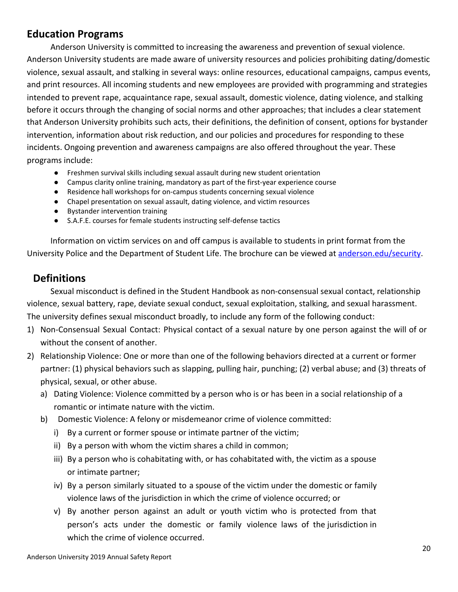### **Education Programs**

Anderson University is committed to increasing the awareness and prevention of sexual violence. Anderson University students are made aware of university resources and policies prohibiting dating/domestic violence, sexual assault, and stalking in several ways: online resources, educational campaigns, campus events, and print resources. All incoming students and new employees are provided with programming and strategies intended to prevent rape, acquaintance rape, sexual assault, domestic violence, dating violence, and stalking before it occurs through the changing of social norms and other approaches; that includes a clear statement that Anderson University prohibits such acts, their definitions, the definition of consent, options for bystander intervention, information about risk reduction, and our policies and procedures for responding to these incidents. Ongoing prevention and awareness campaigns are also offered throughout the year. These programs include:

- Freshmen survival skills including sexual assault during new student orientation
- Campus clarity online training, mandatory as part of the first-year experience course
- Residence hall workshops for on-campus students concerning sexual violence
- Chapel presentation on sexual assault, dating violence, and victim resources
- Bystander intervention training
- S.A.F.E. courses for female students instructing self-defense tactics

Information on victim services on and off campus is available to students in print format from the University Police and the Department of Student Life. The brochure can be viewed at [anderson.edu/security](http://anderson.edu/security).

### **Definitions**

Sexual misconduct is defined in the Student Handbook as non-consensual sexual contact, relationship violence, sexual battery, rape, deviate sexual conduct, sexual exploitation, stalking, and sexual harassment. The university defines sexual misconduct broadly, to include any form of the following conduct:

- 1) Non-Consensual Sexual Contact: Physical contact of a sexual nature by one person against the will of or without the consent of another.
- 2) Relationship Violence: One or more than one of the following behaviors directed at a current or former partner: (1) physical behaviors such as slapping, pulling hair, punching; (2) verbal abuse; and (3) threats of physical, sexual, or other abuse.
	- a) Dating Violence: Violence committed by a person who is or has been in a social relationship of a romantic or intimate nature with the victim.
	- b) Domestic Violence: A felony or misdemeanor crime of violence committed:
		- i) By a current or former spouse or intimate partner of the victim;
		- ii) By a person with whom the victim shares a child in common;
		- iii) By a person who is cohabitating with, or has cohabitated with, the victim as a spouse or intimate partner;
		- iv) By a person similarly situated to a spouse of the victim under the domestic or family violence laws of the jurisdiction in which the crime of violence occurred; or
		- v) By another person against an adult or youth victim who is protected from that person's acts under the domestic or family violence laws of the jurisdiction in which the crime of violence occurred.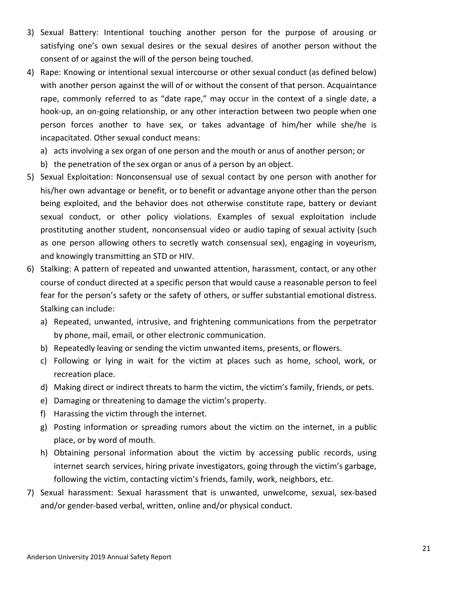- 3) Sexual Battery: Intentional touching another person for the purpose of arousing or satisfying one's own sexual desires or the sexual desires of another person without the consent of or against the will of the person being touched.
- 4) Rape: Knowing or intentional sexual intercourse or other sexual conduct (as defined below) with another person against the will of or without the consent of that person. Acquaintance rape, commonly referred to as "date rape," may occur in the context of a single date, a hook-up, an on-going relationship, or any other interaction between two people when one person forces another to have sex, or takes advantage of him/her while she/he is incapacitated. Other sexual conduct means:
	- a) acts involving a sex organ of one person and the mouth or anus of another person; or
	- b) the penetration of the sex organ or anus of a person by an object.
- 5) Sexual Exploitation: Nonconsensual use of sexual contact by one person with another for his/her own advantage or benefit, or to benefit or advantage anyone other than the person being exploited, and the behavior does not otherwise constitute rape, battery or deviant sexual conduct, or other policy violations. Examples of sexual exploitation include prostituting another student, nonconsensual video or audio taping of sexual activity (such as one person allowing others to secretly watch consensual sex), engaging in voyeurism, and knowingly transmitting an STD or HIV.
- 6) Stalking: A pattern of repeated and unwanted attention, harassment, contact, or any other course of conduct directed at a specific person that would cause a reasonable person to feel fear for the person's safety or the safety of others, or suffer substantial emotional distress. Stalking can include:
	- a) Repeated, unwanted, intrusive, and frightening communications from the perpetrator by phone, mail, email, or other electronic communication.
	- b) Repeatedly leaving or sending the victim unwanted items, presents, or flowers.
	- c) Following or lying in wait for the victim at places such as home, school, work, or recreation place.
	- d) Making direct or indirect threats to harm the victim, the victim's family, friends, or pets.
	- e) Damaging or threatening to damage the victim's property.
	- f) Harassing the victim through the internet.
	- g) Posting information or spreading rumors about the victim on the internet, in a public place, or by word of mouth.
	- h) Obtaining personal information about the victim by accessing public records, using internet search services, hiring private investigators, going through the victim's garbage, following the victim, contacting victim's friends, family, work, neighbors, etc.
- 7) Sexual harassment: Sexual harassment that is unwanted, unwelcome, sexual, sex-based and/or gender-based verbal, written, online and/or physical conduct.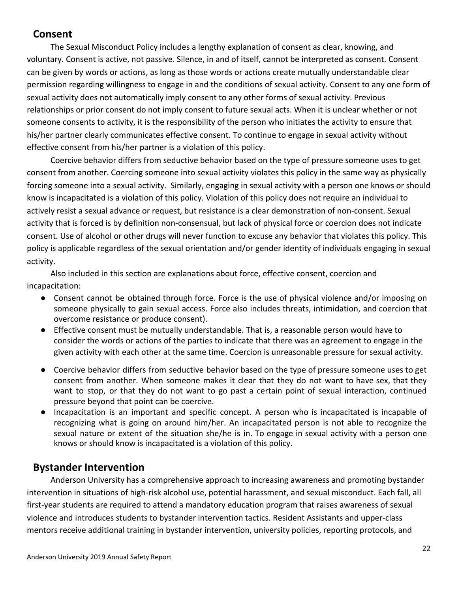### **Consent**

The Sexual Misconduct Policy includes a lengthy explanation of consent as clear, knowing, and voluntary. Consent is active, not passive. Silence, in and of itself, cannot be interpreted as consent. Consent can be given by words or actions, as long as those words or actions create mutually understandable clear permission regarding willingness to engage in and the conditions of sexual activity. Consent to any one form of sexual activity does not automatically imply consent to any other forms of sexual activity. Previous relationships or prior consent do not imply consent to future sexual acts. When it is unclear whether or not someone consents to activity, it is the responsibility of the person who initiates the activity to ensure that his/her partner clearly communicates effective consent. To continue to engage in sexual activity without effective consent from his/her partner is a violation of this policy.

Coercive behavior differs from seductive behavior based on the type of pressure someone uses to get consent from another. Coercing someone into sexual activity violates this policy in the same way as physically forcing someone into a sexual activity. Similarly, engaging in sexual activity with a person one knows or should know is incapacitated is a violation of this policy. Violation of this policy does not require an individual to actively resist a sexual advance or request, but resistance is a clear demonstration of non-consent. Sexual activity that is forced is by definition non-consensual, but lack of physical force or coercion does not indicate consent. Use of alcohol or other drugs will never function to excuse any behavior that violates this policy. This policy is applicable regardless of the sexual orientation and/or gender identity of individuals engaging in sexual activity.

Also included in this section are explanations about force, effective consent, coercion and incapacitation:

- Consent cannot be obtained through force. Force is the use of physical violence and/or imposing on someone physically to gain sexual access. Force also includes threats, intimidation, and coercion that overcome resistance or produce consent).
- Effective consent must be mutually understandable. That is, a reasonable person would have to consider the words or actions of the parties to indicate that there was an agreement to engage in the given activity with each other at the same time. Coercion is unreasonable pressure for sexual activity.
- Coercive behavior differs from seductive behavior based on the type of pressure someone uses to get consent from another. When someone makes it clear that they do not want to have sex, that they want to stop, or that they do not want to go past a certain point of sexual interaction, continued pressure beyond that point can be coercive.
- Incapacitation is an important and specific concept. A person who is incapacitated is incapable of recognizing what is going on around him/her. An incapacitated person is not able to recognize the sexual nature or extent of the situation she/he is in. To engage in sexual activity with a person one knows or should know is incapacitated is a violation of this policy.

### **Bystander Intervention**

Anderson University has a comprehensive approach to increasing awareness and promoting bystander intervention in situations of high-risk alcohol use, potential harassment, and sexual misconduct. Each fall, all first-year students are required to attend a mandatory education program that raises awareness of sexual violence and introduces students to bystander intervention tactics. Resident Assistants and upper-class mentors receive additional training in bystander intervention, university policies, reporting protocols, and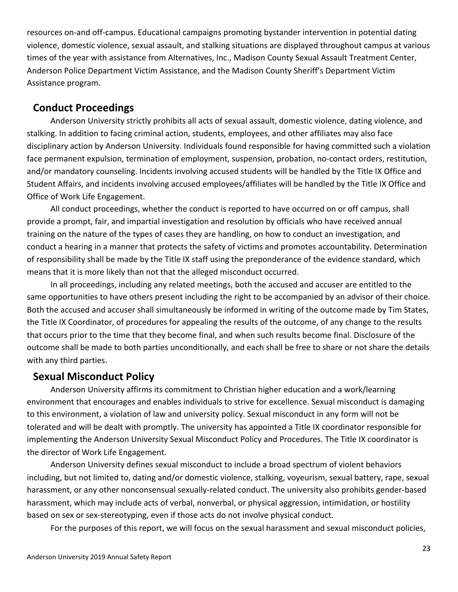resources on-and off-campus. Educational campaigns promoting bystander intervention in potential dating violence, domestic violence, sexual assault, and stalking situations are displayed throughout campus at various times of the year with assistance from Alternatives, Inc., Madison County Sexual Assault Treatment Center, Anderson Police Department Victim Assistance, and the Madison County Sheriff's Department Victim Assistance program.

### **Conduct Proceedings**

Anderson University strictly prohibits all acts of sexual assault, domestic violence, dating violence, and stalking. In addition to facing criminal action, students, employees, and other affiliates may also face disciplinary action by Anderson University. Individuals found responsible for having committed such a violation face permanent expulsion, termination of employment, suspension, probation, no-contact orders, restitution, and/or mandatory counseling. Incidents involving accused students will be handled by the Title IX Office and Student Affairs, and incidents involving accused employees/affiliates will be handled by the Title IX Office and Office of Work Life Engagement.

All conduct proceedings, whether the conduct is reported to have occurred on or off campus, shall provide a prompt, fair, and impartial investigation and resolution by officials who have received annual training on the nature of the types of cases they are handling, on how to conduct an investigation, and conduct a hearing in a manner that protects the safety of victims and promotes accountability. Determination of responsibility shall be made by the Title IX staff using the preponderance of the evidence standard, which means that it is more likely than not that the alleged misconduct occurred.

In all proceedings, including any related meetings, both the accused and accuser are entitled to the same opportunities to have others present including the right to be accompanied by an advisor of their choice. Both the accused and accuser shall simultaneously be informed in writing of the outcome made by Tim States, the Title IX Coordinator, of procedures for appealing the results of the outcome, of any change to the results that occurs prior to the time that they become final, and when such results become final. Disclosure of the outcome shall be made to both parties unconditionally, and each shall be free to share or not share the details with any third parties.

### **Sexual Misconduct Policy**

Anderson University affirms its commitment to Christian higher education and a work/learning environment that encourages and enables individuals to strive for excellence. Sexual misconduct is damaging to this environment, a violation of law and university policy. Sexual misconduct in any form will not be tolerated and will be dealt with promptly. The university has appointed a Title IX coordinator responsible for implementing the Anderson University Sexual Misconduct Policy and Procedures. The Title IX coordinator is the director of Work Life Engagement.

Anderson University defines sexual misconduct to include a broad spectrum of violent behaviors including, but not limited to, dating and/or domestic violence, stalking, voyeurism, sexual battery, rape, sexual harassment, or any other nonconsensual sexually-related conduct. The university also prohibits gender-based harassment, which may include acts of verbal, nonverbal, or physical aggression, intimidation, or hostility based on sex or sex-stereotyping, even if those acts do not involve physical conduct.

For the purposes of this report, we will focus on the sexual harassment and sexual misconduct policies,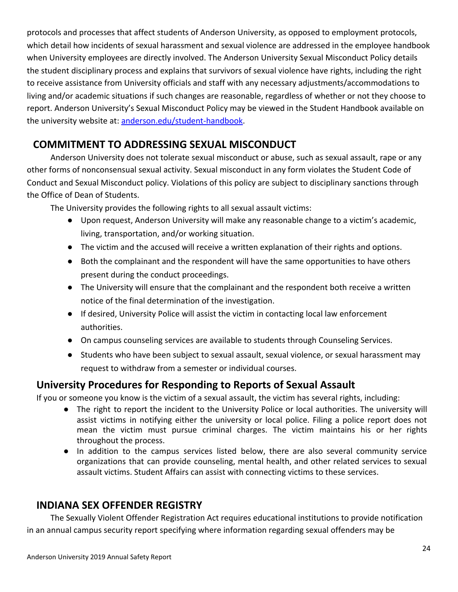protocols and processes that affect students of Anderson University, as opposed to employment protocols, which detail how incidents of sexual harassment and sexual violence are addressed in the employee handbook when University employees are directly involved. The Anderson University Sexual Misconduct Policy details the student disciplinary process and explains that survivors of sexual violence have rights, including the right to receive assistance from University officials and staff with any necessary adjustments/accommodations to living and/or academic situations if such changes are reasonable, regardless of whether or not they choose to report. Anderson University's Sexual Misconduct Policy may be viewed in the Student Handbook available on the university website at: [anderson.edu/student-handbook.](http://anderson.edu/student-handbook)

## **COMMITMENT TO ADDRESSING SEXUAL MISCONDUCT**

Anderson University does not tolerate sexual misconduct or abuse, such as sexual assault, rape or any other forms of nonconsensual sexual activity. Sexual misconduct in any form violates the Student Code of Conduct and Sexual Misconduct policy. Violations of this policy are subject to disciplinary sanctions through the Office of Dean of Students.

The University provides the following rights to all sexual assault victims:

- Upon request, Anderson University will make any reasonable change to a victim's academic, living, transportation, and/or working situation.
- The victim and the accused will receive a written explanation of their rights and options.
- Both the complainant and the respondent will have the same opportunities to have others present during the conduct proceedings.
- The University will ensure that the complainant and the respondent both receive a written notice of the final determination of the investigation.
- If desired, University Police will assist the victim in contacting local law enforcement authorities.
- On campus counseling services are available to students through Counseling Services.
- Students who have been subject to sexual assault, sexual violence, or sexual harassment may request to withdraw from a semester or individual courses.

### **University Procedures for Responding to Reports of Sexual Assault**

If you or someone you know is the victim of a sexual assault, the victim has several rights, including:

- The right to report the incident to the University Police or local authorities. The university will assist victims in notifying either the university or local police. Filing a police report does not mean the victim must pursue criminal charges. The victim maintains his or her rights throughout the process.
- In addition to the campus services listed below, there are also several community service organizations that can provide counseling, mental health, and other related services to sexual assault victims. Student Affairs can assist with connecting victims to these services.

### **INDIANA SEX OFFENDER REGISTRY**

The Sexually Violent Offender Registration Act requires educational institutions to provide notification in an annual campus security report specifying where information regarding sexual offenders may be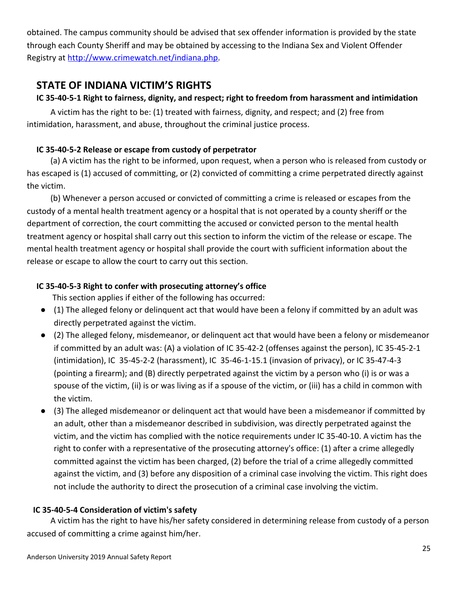obtained. The campus community should be advised that sex offender information is provided by the state through each County Sheriff and may be obtained by accessing to the Indiana Sex and Violent Offender Registry at [http://www.crimewatch.net/indiana.php.](http://www.crimewatch.net/indiana.php)

# **STATE OF INDIANA VICTIM'S RIGHTS**

### **IC 35-40-5-1 Right to fairness, dignity, and respect; right to freedom from harassment and intimidation**

A victim has the right to be: (1) treated with fairness, dignity, and respect; and (2) free from intimidation, harassment, and abuse, throughout the criminal justice process.

### **IC 35-40-5-2 Release or escape from custody of perpetrator**

(a) A victim has the right to be informed, upon request, when a person who is released from custody or has escaped is (1) accused of committing, or (2) convicted of committing a crime perpetrated directly against the victim.

(b) Whenever a person accused or convicted of committing a crime is released or escapes from the custody of a mental health treatment agency or a hospital that is not operated by a county sheriff or the department of correction, the court committing the accused or convicted person to the mental health treatment agency or hospital shall carry out this section to inform the victim of the release or escape. The mental health treatment agency or hospital shall provide the court with sufficient information about the release or escape to allow the court to carry out this section.

### **IC 35-40-5-3 Right to confer with prosecuting attorney's office**

This section applies if either of the following has occurred:

- $\bullet$  (1) The alleged felony or delinquent act that would have been a felony if committed by an adult was directly perpetrated against the victim.
- (2) The alleged felony, misdemeanor, or delinquent act that would have been a felony or misdemeanor if committed by an adult was: (A) a violation of IC 35-42-2 (offenses against the person), IC 35-45-2-1 (intimidation), IC 35-45-2-2 (harassment), IC 35-46-1-15.1 (invasion of privacy), or IC 35-47-4-3 (pointing a firearm); and (B) directly perpetrated against the victim by a person who (i) is or was a spouse of the victim, (ii) is or was living as if a spouse of the victim, or (iii) has a child in common with the victim.
- (3) The alleged misdemeanor or delinquent act that would have been a misdemeanor if committed by an adult, other than a misdemeanor described in subdivision, was directly perpetrated against the victim, and the victim has complied with the notice requirements under IC 35-40-10. A victim has the right to confer with a representative of the prosecuting attorney's office: (1) after a crime allegedly committed against the victim has been charged, (2) before the trial of a crime allegedly committed against the victim, and (3) before any disposition of a criminal case involving the victim. This right does not include the authority to direct the prosecution of a criminal case involving the victim.

### **IC 35-40-5-4 Consideration of victim's safety**

A victim has the right to have his/her safety considered in determining release from custody of a person accused of committing a crime against him/her.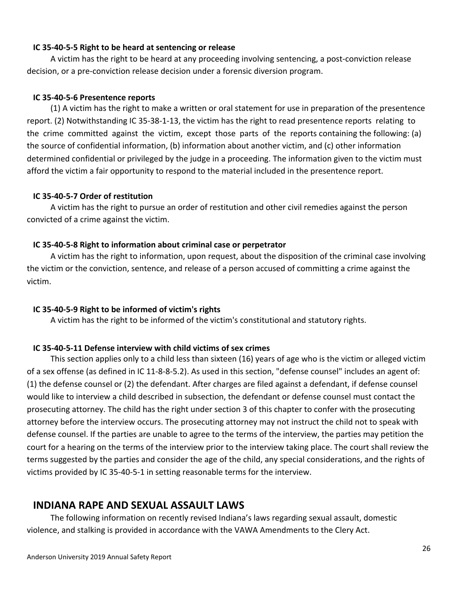#### **IC 35-40-5-5 Right to be heard at sentencing or release**

A victim has the right to be heard at any proceeding involving sentencing, a post-conviction release decision, or a pre-conviction release decision under a forensic diversion program.

#### **IC 35-40-5-6 Presentence reports**

(1) A victim has the right to make a written or oral statement for use in preparation of the presentence report. (2) Notwithstanding IC 35-38-1-13, the victim has the right to read presentence reports relating to the crime committed against the victim, except those parts of the reports containing the following: (a) the source of confidential information, (b) information about another victim, and (c) other information determined confidential or privileged by the judge in a proceeding. The information given to the victim must afford the victim a fair opportunity to respond to the material included in the presentence report.

#### **IC 35-40-5-7 Order of restitution**

A victim has the right to pursue an order of restitution and other civil remedies against the person convicted of a crime against the victim.

#### **IC 35-40-5-8 Right to information about criminal case or perpetrator**

A victim has the right to information, upon request, about the disposition of the criminal case involving the victim or the conviction, sentence, and release of a person accused of committing a crime against the victim.

#### **IC 35-40-5-9 Right to be informed of victim's rights**

A victim has the right to be informed of the victim's constitutional and statutory rights.

#### **IC 35-40-5-11 Defense interview with child victims of sex crimes**

This section applies only to a child less than sixteen (16) years of age who is the victim or alleged victim of a sex offense (as defined in IC 11-8-8-5.2). As used in this section, "defense counsel" includes an agent of: (1) the defense counsel or (2) the defendant. After charges are filed against a defendant, if defense counsel would like to interview a child described in subsection, the defendant or defense counsel must contact the prosecuting attorney. The child has the right under section 3 of this chapter to confer with the prosecuting attorney before the interview occurs. The prosecuting attorney may not instruct the child not to speak with defense counsel. If the parties are unable to agree to the terms of the interview, the parties may petition the court for a hearing on the terms of the interview prior to the interview taking place. The court shall review the terms suggested by the parties and consider the age of the child, any special considerations, and the rights of victims provided by IC 35-40-5-1 in setting reasonable terms for the interview.

### **INDIANA RAPE AND SEXUAL ASSAULT LAWS**

The following information on recently revised Indiana's laws regarding sexual assault, domestic violence, and stalking is provided in accordance with the VAWA Amendments to the Clery Act.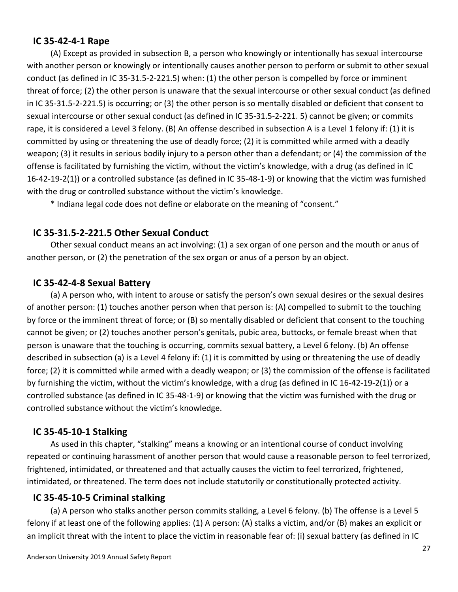#### **IC 35-42-4-1 Rape**

(A) Except as provided in subsection B, a person who knowingly or intentionally has sexual intercourse with another person or knowingly or intentionally causes another person to perform or submit to other sexual conduct (as defined in IC 35-31.5-2-221.5) when: (1) the other person is compelled by force or imminent threat of force; (2) the other person is unaware that the sexual intercourse or other sexual conduct (as defined in IC 35-31.5-2-221.5) is occurring; or (3) the other person is so mentally disabled or deficient that consent to sexual intercourse or other sexual conduct (as defined in IC 35-31.5-2-221. 5) cannot be given; or commits rape, it is considered a Level 3 felony. (B) An offense described in subsection A is a Level 1 felony if: (1) it is committed by using or threatening the use of deadly force; (2) it is committed while armed with a deadly weapon; (3) it results in serious bodily injury to a person other than a defendant; or (4) the commission of the offense is facilitated by furnishing the victim, without the victim's knowledge, with a drug (as defined in IC 16-42-19-2(1)) or a controlled substance (as defined in IC 35-48-1-9) or knowing that the victim was furnished with the drug or controlled substance without the victim's knowledge.

\* Indiana legal code does not define or elaborate on the meaning of "consent."

#### **IC 35-31.5-2-221.5 Other Sexual Conduct**

Other sexual conduct means an act involving: (1) a sex organ of one person and the mouth or anus of another person, or (2) the penetration of the sex organ or anus of a person by an object.

#### **IC 35-42-4-8 Sexual Battery**

(a) A person who, with intent to arouse or satisfy the person's own sexual desires or the sexual desires of another person: (1) touches another person when that person is: (A) compelled to submit to the touching by force or the imminent threat of force; or (B) so mentally disabled or deficient that consent to the touching cannot be given; or (2) touches another person's genitals, pubic area, buttocks, or female breast when that person is unaware that the touching is occurring, commits sexual battery, a Level 6 felony. (b) An offense described in subsection (a) is a Level 4 felony if: (1) it is committed by using or threatening the use of deadly force; (2) it is committed while armed with a deadly weapon; or (3) the commission of the offense is facilitated by furnishing the victim, without the victim's knowledge, with a drug (as defined in IC 16-42-19-2(1)) or a controlled substance (as defined in IC 35-48-1-9) or knowing that the victim was furnished with the drug or controlled substance without the victim's knowledge.

#### **IC 35-45-10-1 Stalking**

As used in this chapter, "stalking" means a knowing or an intentional course of conduct involving repeated or continuing harassment of another person that would cause a reasonable person to feel terrorized, frightened, intimidated, or threatened and that actually causes the victim to feel terrorized, frightened, intimidated, or threatened. The term does not include statutorily or constitutionally protected activity.

#### **IC 35-45-10-5 Criminal stalking**

(a) A person who stalks another person commits stalking, a Level 6 felony. (b) The offense is a Level 5 felony if at least one of the following applies: (1) A person: (A) stalks a victim, and/or (B) makes an explicit or an implicit threat with the intent to place the victim in reasonable fear of: (i) sexual battery (as defined in IC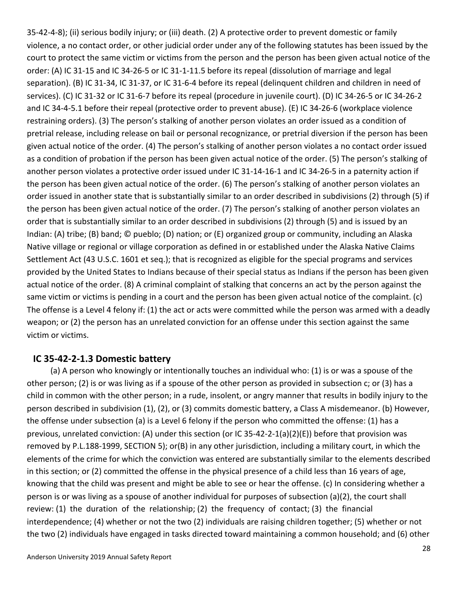35-42-4-8); (ii) serious bodily injury; or (iii) death. (2) A protective order to prevent domestic or family violence, a no contact order, or other judicial order under any of the following statutes has been issued by the court to protect the same victim or victims from the person and the person has been given actual notice of the order: (A) IC 31-15 and IC 34-26-5 or IC 31-1-11.5 before its repeal (dissolution of marriage and legal separation). (B) IC 31-34, IC 31-37, or IC 31-6-4 before its repeal (delinquent children and children in need of services). (C) IC 31-32 or IC 31-6-7 before its repeal (procedure in juvenile court). (D) IC 34-26-5 or IC 34-26-2 and IC 34-4-5.1 before their repeal (protective order to prevent abuse). (E) IC 34-26-6 (workplace violence restraining orders). (3) The person's stalking of another person violates an order issued as a condition of pretrial release, including release on bail or personal recognizance, or pretrial diversion if the person has been given actual notice of the order. (4) The person's stalking of another person violates a no contact order issued as a condition of probation if the person has been given actual notice of the order. (5) The person's stalking of another person violates a protective order issued under IC 31-14-16-1 and IC 34-26-5 in a paternity action if the person has been given actual notice of the order. (6) The person's stalking of another person violates an order issued in another state that is substantially similar to an order described in subdivisions (2) through (5) if the person has been given actual notice of the order. (7) The person's stalking of another person violates an order that is substantially similar to an order described in subdivisions (2) through (5) and is issued by an Indian: (A) tribe; (B) band; © pueblo; (D) nation; or (E) organized group or community, including an Alaska Native village or regional or village corporation as defined in or established under the Alaska Native Claims Settlement Act (43 U.S.C. 1601 et seq.); that is recognized as eligible for the special programs and services provided by the United States to Indians because of their special status as Indians if the person has been given actual notice of the order. (8) A criminal complaint of stalking that concerns an act by the person against the same victim or victims is pending in a court and the person has been given actual notice of the complaint. (c) The offense is a Level 4 felony if: (1) the act or acts were committed while the person was armed with a deadly weapon; or (2) the person has an unrelated conviction for an offense under this section against the same victim or victims.

#### **IC 35-42-2-1.3 Domestic battery**

(a) A person who knowingly or intentionally touches an individual who: (1) is or was a spouse of the other person; (2) is or was living as if a spouse of the other person as provided in subsection c; or (3) has a child in common with the other person; in a rude, insolent, or angry manner that results in bodily injury to the person described in subdivision (1), (2), or (3) commits domestic battery, a Class A misdemeanor. (b) However, the offense under subsection (a) is a Level 6 felony if the person who committed the offense: (1) has a previous, unrelated conviction: (A) under this section (or IC 35-42-2-1(a)(2)(E)) before that provision was removed by P.L.188-1999, SECTION 5); or(B) in any other jurisdiction, including a military court, in which the elements of the crime for which the conviction was entered are substantially similar to the elements described in this section; or (2) committed the offense in the physical presence of a child less than 16 years of age, knowing that the child was present and might be able to see or hear the offense. (c) In considering whether a person is or was living as a spouse of another individual for purposes of subsection (a)(2), the court shall review: (1) the duration of the relationship; (2) the frequency of contact; (3) the financial interdependence; (4) whether or not the two (2) individuals are raising children together; (5) whether or not the two (2) individuals have engaged in tasks directed toward maintaining a common household; and (6) other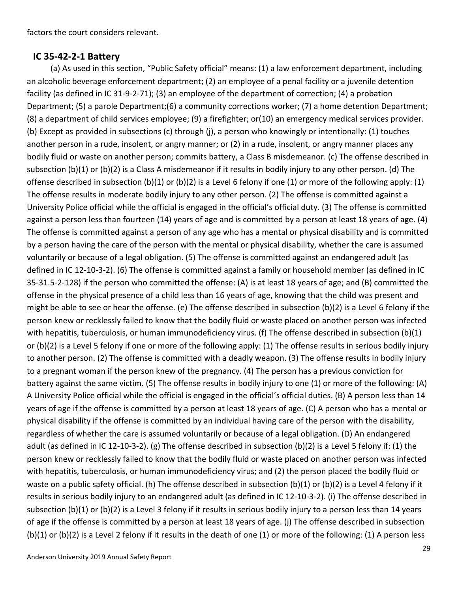factors the court considers relevant.

#### **IC 35-42-2-1 Battery**

(a) As used in this section, "Public Safety official" means: (1) a law enforcement department, including an alcoholic beverage enforcement department; (2) an employee of a penal facility or a juvenile detention facility (as defined in IC 31-9-2-71); (3) an employee of the department of correction; (4) a probation Department; (5) a parole Department;(6) a community corrections worker; (7) a home detention Department; (8) a department of child services employee; (9) a firefighter; or(10) an emergency medical services provider. (b) Except as provided in subsections (c) through (j), a person who knowingly or intentionally: (1) touches another person in a rude, insolent, or angry manner; or (2) in a rude, insolent, or angry manner places any bodily fluid or waste on another person; commits battery, a Class B misdemeanor. (c) The offense described in subsection (b)(1) or (b)(2) is a Class A misdemeanor if it results in bodily injury to any other person. (d) The offense described in subsection (b)(1) or (b)(2) is a Level 6 felony if one (1) or more of the following apply: (1) The offense results in moderate bodily injury to any other person. (2) The offense is committed against a University Police official while the official is engaged in the official's official duty. (3) The offense is committed against a person less than fourteen (14) years of age and is committed by a person at least 18 years of age. (4) The offense is committed against a person of any age who has a mental or physical disability and is committed by a person having the care of the person with the mental or physical disability, whether the care is assumed voluntarily or because of a legal obligation. (5) The offense is committed against an endangered adult (as defined in IC 12-10-3-2). (6) The offense is committed against a family or household member (as defined in IC 35-31.5-2-128) if the person who committed the offense: (A) is at least 18 years of age; and (B) committed the offense in the physical presence of a child less than 16 years of age, knowing that the child was present and might be able to see or hear the offense. (e) The offense described in subsection (b)(2) is a Level 6 felony if the person knew or recklessly failed to know that the bodily fluid or waste placed on another person was infected with hepatitis, tuberculosis, or human immunodeficiency virus. (f) The offense described in subsection (b)(1) or (b)(2) is a Level 5 felony if one or more of the following apply: (1) The offense results in serious bodily injury to another person. (2) The offense is committed with a deadly weapon. (3) The offense results in bodily injury to a pregnant woman if the person knew of the pregnancy. (4) The person has a previous conviction for battery against the same victim. (5) The offense results in bodily injury to one (1) or more of the following: (A) A University Police official while the official is engaged in the official's official duties. (B) A person less than 14 years of age if the offense is committed by a person at least 18 years of age. (C) A person who has a mental or physical disability if the offense is committed by an individual having care of the person with the disability, regardless of whether the care is assumed voluntarily or because of a legal obligation. (D) An endangered adult (as defined in IC 12-10-3-2). (g) The offense described in subsection (b)(2) is a Level 5 felony if: (1) the person knew or recklessly failed to know that the bodily fluid or waste placed on another person was infected with hepatitis, tuberculosis, or human immunodeficiency virus; and (2) the person placed the bodily fluid or waste on a public safety official. (h) The offense described in subsection (b)(1) or (b)(2) is a Level 4 felony if it results in serious bodily injury to an endangered adult (as defined in IC 12-10-3-2). (i) The offense described in subsection (b)(1) or (b)(2) is a Level 3 felony if it results in serious bodily injury to a person less than 14 years of age if the offense is committed by a person at least 18 years of age. (j) The offense described in subsection (b)(1) or (b)(2) is a Level 2 felony if it results in the death of one (1) or more of the following: (1) A person less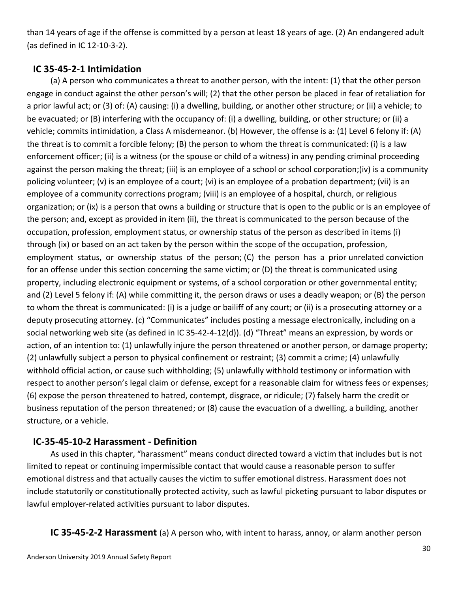than 14 years of age if the offense is committed by a person at least 18 years of age. (2) An endangered adult (as defined in IC 12-10-3-2).

### **IC 35-45-2-1 Intimidation**

(a) A person who communicates a threat to another person, with the intent: (1) that the other person engage in conduct against the other person's will; (2) that the other person be placed in fear of retaliation for a prior lawful act; or (3) of: (A) causing: (i) a dwelling, building, or another other structure; or (ii) a vehicle; to be evacuated; or (B) interfering with the occupancy of: (i) a dwelling, building, or other structure; or (ii) a vehicle; commits intimidation, a Class A misdemeanor. (b) However, the offense is a: (1) Level 6 felony if: (A) the threat is to commit a forcible felony; (B) the person to whom the threat is communicated: (i) is a law enforcement officer; (ii) is a witness (or the spouse or child of a witness) in any pending criminal proceeding against the person making the threat; (iii) is an employee of a school or school corporation;(iv) is a community policing volunteer; (v) is an employee of a court; (vi) is an employee of a probation department; (vii) is an employee of a community corrections program; (viii) is an employee of a hospital, church, or religious organization; or (ix) is a person that owns a building or structure that is open to the public or is an employee of the person; and, except as provided in item (ii), the threat is communicated to the person because of the occupation, profession, employment status, or ownership status of the person as described in items (i) through (ix) or based on an act taken by the person within the scope of the occupation, profession, employment status, or ownership status of the person; (C) the person has a prior unrelated conviction for an offense under this section concerning the same victim; or (D) the threat is communicated using property, including electronic equipment or systems, of a school corporation or other governmental entity; and (2) Level 5 felony if: (A) while committing it, the person draws or uses a deadly weapon; or (B) the person to whom the threat is communicated: (i) is a judge or bailiff of any court; or (ii) is a prosecuting attorney or a deputy prosecuting attorney. (c) "Communicates" includes posting a message electronically, including on a social networking web site (as defined in IC 35-42-4-12(d)). (d) "Threat" means an expression, by words or action, of an intention to: (1) unlawfully injure the person threatened or another person, or damage property; (2) unlawfully subject a person to physical confinement or restraint; (3) commit a crime; (4) unlawfully withhold official action, or cause such withholding; (5) unlawfully withhold testimony or information with respect to another person's legal claim or defense, except for a reasonable claim for witness fees or expenses; (6) expose the person threatened to hatred, contempt, disgrace, or ridicule; (7) falsely harm the credit or business reputation of the person threatened; or (8) cause the evacuation of a dwelling, a building, another structure, or a vehicle.

#### **IC-35-45-10-2 Harassment - Definition**

As used in this chapter, "harassment" means conduct directed toward a victim that includes but is not limited to repeat or continuing impermissible contact that would cause a reasonable person to suffer emotional distress and that actually causes the victim to suffer emotional distress. Harassment does not include statutorily or constitutionally protected activity, such as lawful picketing pursuant to labor disputes or lawful employer-related activities pursuant to labor disputes.

**IC 35-45-2-2 Harassment** (a) A person who, with intent to harass, annoy, or alarm another person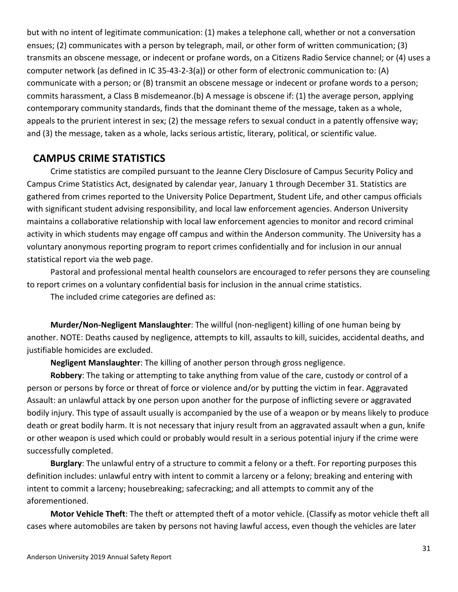but with no intent of legitimate communication: (1) makes a telephone call, whether or not a conversation ensues; (2) communicates with a person by telegraph, mail, or other form of written communication; (3) transmits an obscene message, or indecent or profane words, on a Citizens Radio Service channel; or (4) uses a computer network (as defined in IC 35-43-2-3(a)) or other form of electronic communication to: (A) communicate with a person; or (B) transmit an obscene message or indecent or profane words to a person; commits harassment, a Class B misdemeanor.(b) A message is obscene if: (1) the average person, applying contemporary community standards, finds that the dominant theme of the message, taken as a whole, appeals to the prurient interest in sex; (2) the message refers to sexual conduct in a patently offensive way; and (3) the message, taken as a whole, lacks serious artistic, literary, political, or scientific value.

### **CAMPUS CRIME STATISTICS**

Crime statistics are compiled pursuant to the Jeanne Clery Disclosure of Campus Security Policy and Campus Crime Statistics Act, designated by calendar year, January 1 through December 31. Statistics are gathered from crimes reported to the University Police Department, Student Life, and other campus officials with significant student advising responsibility, and local law enforcement agencies. Anderson University maintains a collaborative relationship with local law enforcement agencies to monitor and record criminal activity in which students may engage off campus and within the Anderson community. The University has a voluntary anonymous reporting program to report crimes confidentially and for inclusion in our annual statistical report via the web page.

Pastoral and professional mental health counselors are encouraged to refer persons they are counseling to report crimes on a voluntary confidential basis for inclusion in the annual crime statistics.

The included crime categories are defined as:

**Murder/Non-Negligent Manslaughter**: The willful (non-negligent) killing of one human being by another. NOTE: Deaths caused by negligence, attempts to kill, assaults to kill, suicides, accidental deaths, and justifiable homicides are excluded.

**Negligent Manslaughter**: The killing of another person through gross negligence.

**Robbery**: The taking or attempting to take anything from value of the care, custody or control of a person or persons by force or threat of force or violence and/or by putting the victim in fear. Aggravated Assault: an unlawful attack by one person upon another for the purpose of inflicting severe or aggravated bodily injury. This type of assault usually is accompanied by the use of a weapon or by means likely to produce death or great bodily harm. It is not necessary that injury result from an aggravated assault when a gun, knife or other weapon is used which could or probably would result in a serious potential injury if the crime were successfully completed.

**Burglary**: The unlawful entry of a structure to commit a felony or a theft. For reporting purposes this definition includes: unlawful entry with intent to commit a larceny or a felony; breaking and entering with intent to commit a larceny; housebreaking; safecracking; and all attempts to commit any of the aforementioned.

**Motor Vehicle Theft**: The theft or attempted theft of a motor vehicle. (Classify as motor vehicle theft all cases where automobiles are taken by persons not having lawful access, even though the vehicles are later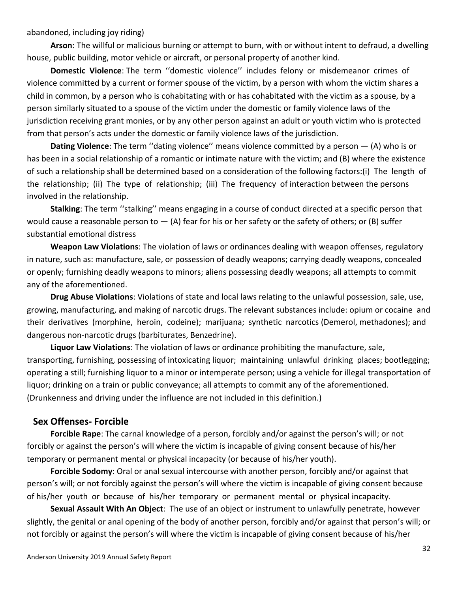abandoned, including joy riding)

**Arson**: The willful or malicious burning or attempt to burn, with or without intent to defraud, a dwelling house, public building, motor vehicle or aircraft, or personal property of another kind.

**Domestic Violence**: The term ''domestic violence'' includes felony or misdemeanor crimes of violence committed by a current or former spouse of the victim, by a person with whom the victim shares a child in common, by a person who is cohabitating with or has cohabitated with the victim as a spouse, by a person similarly situated to a spouse of the victim under the domestic or family violence laws of the jurisdiction receiving grant monies, or by any other person against an adult or youth victim who is protected from that person's acts under the domestic or family violence laws of the jurisdiction.

**Dating Violence**: The term ''dating violence'' means violence committed by a person — (A) who is or has been in a social relationship of a romantic or intimate nature with the victim; and (B) where the existence of such a relationship shall be determined based on a consideration of the following factors:(i) The length of the relationship; (ii) The type of relationship; (iii) The frequency of interaction between the persons involved in the relationship.

**Stalking**: The term ''stalking'' means engaging in a course of conduct directed at a specific person that would cause a reasonable person to  $-$  (A) fear for his or her safety or the safety of others; or (B) suffer substantial emotional distress

**Weapon Law Violations**: The violation of laws or ordinances dealing with weapon offenses, regulatory in nature, such as: manufacture, sale, or possession of deadly weapons; carrying deadly weapons, concealed or openly; furnishing deadly weapons to minors; aliens possessing deadly weapons; all attempts to commit any of the aforementioned.

**Drug Abuse Violations**: Violations of state and local laws relating to the unlawful possession, sale, use, growing, manufacturing, and making of narcotic drugs. The relevant substances include: opium or cocaine and their derivatives (morphine, heroin, codeine); marijuana; synthetic narcotics (Demerol, methadones); and dangerous non-narcotic drugs (barbiturates, Benzedrine).

**Liquor Law Violations**: The violation of laws or ordinance prohibiting the manufacture, sale, transporting, furnishing, possessing of intoxicating liquor; maintaining unlawful drinking places; bootlegging; operating a still; furnishing liquor to a minor or intemperate person; using a vehicle for illegal transportation of liquor; drinking on a train or public conveyance; all attempts to commit any of the aforementioned. (Drunkenness and driving under the influence are not included in this definition.)

#### **Sex Offenses- Forcible**

**Forcible Rape**: The carnal knowledge of a person, forcibly and/or against the person's will; or not forcibly or against the person's will where the victim is incapable of giving consent because of his/her temporary or permanent mental or physical incapacity (or because of his/her youth).

**Forcible Sodomy**: Oral or anal sexual intercourse with another person, forcibly and/or against that person's will; or not forcibly against the person's will where the victim is incapable of giving consent because of his/her youth or because of his/her temporary or permanent mental or physical incapacity.

**Sexual Assault With An Object**: The use of an object or instrument to unlawfully penetrate, however slightly, the genital or anal opening of the body of another person, forcibly and/or against that person's will; or not forcibly or against the person's will where the victim is incapable of giving consent because of his/her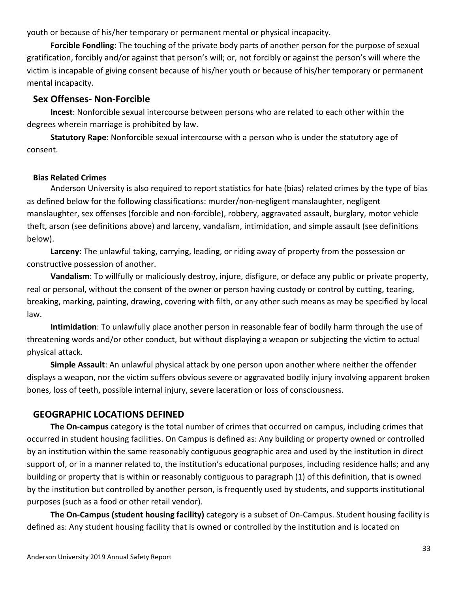youth or because of his/her temporary or permanent mental or physical incapacity.

**Forcible Fondling**: The touching of the private body parts of another person for the purpose of sexual gratification, forcibly and/or against that person's will; or, not forcibly or against the person's will where the victim is incapable of giving consent because of his/her youth or because of his/her temporary or permanent mental incapacity.

#### **Sex Offenses- Non-Forcible**

**Incest**: Nonforcible sexual intercourse between persons who are related to each other within the degrees wherein marriage is prohibited by law.

**Statutory Rape**: Nonforcible sexual intercourse with a person who is under the statutory age of consent.

#### **Bias Related Crimes**

Anderson University is also required to report statistics for hate (bias) related crimes by the type of bias as defined below for the following classifications: murder/non-negligent manslaughter, negligent manslaughter, sex offenses (forcible and non-forcible), robbery, aggravated assault, burglary, motor vehicle theft, arson (see definitions above) and larceny, vandalism, intimidation, and simple assault (see definitions below).

**Larceny**: The unlawful taking, carrying, leading, or riding away of property from the possession or constructive possession of another.

**Vandalism**: To willfully or maliciously destroy, injure, disfigure, or deface any public or private property, real or personal, without the consent of the owner or person having custody or control by cutting, tearing, breaking, marking, painting, drawing, covering with filth, or any other such means as may be specified by local law.

**Intimidation**: To unlawfully place another person in reasonable fear of bodily harm through the use of threatening words and/or other conduct, but without displaying a weapon or subjecting the victim to actual physical attack.

**Simple Assault**: An unlawful physical attack by one person upon another where neither the offender displays a weapon, nor the victim suffers obvious severe or aggravated bodily injury involving apparent broken bones, loss of teeth, possible internal injury, severe laceration or loss of consciousness.

### **GEOGRAPHIC LOCATIONS DEFINED**

**The On-campus** category is the total number of crimes that occurred on campus, including crimes that occurred in student housing facilities. On Campus is defined as: Any building or property owned or controlled by an institution within the same reasonably contiguous geographic area and used by the institution in direct support of, or in a manner related to, the institution's educational purposes, including residence halls; and any building or property that is within or reasonably contiguous to paragraph (1) of this definition, that is owned by the institution but controlled by another person, is frequently used by students, and supports institutional purposes (such as a food or other retail vendor).

**The On-Campus (student housing facility)** category is a subset of On-Campus. Student housing facility is defined as: Any student housing facility that is owned or controlled by the institution and is located on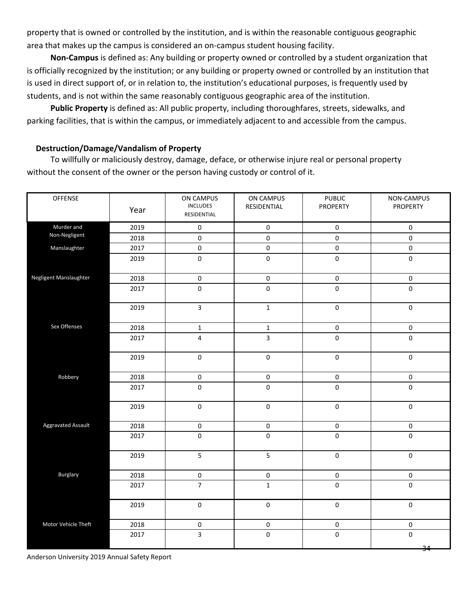property that is owned or controlled by the institution, and is within the reasonable contiguous geographic area that makes up the campus is considered an on-campus student housing facility.

**Non-Campus** is defined as: Any building or property owned or controlled by a student organization that is officially recognized by the institution; or any building or property owned or controlled by an institution that is used in direct support of, or in relation to, the institution's educational purposes, is frequently used by students, and is not within the same reasonably contiguous geographic area of the institution.

**Public Property** is defined as: All public property, including thoroughfares, streets, sidewalks, and parking facilities, that is within the campus, or immediately adjacent to and accessible from the campus.

#### **Destruction/Damage/Vandalism of Property**

To willfully or maliciously destroy, damage, deface, or otherwise injure real or personal property without the consent of the owner or the person having custody or control of it.

| <b>OFFENSE</b>         | Year | ON CAMPUS<br><b>INCLUDES</b><br>RESIDENTIAL | ON CAMPUS<br>RESIDENTIAL | <b>PUBLIC</b><br><b>PROPERTY</b> | NON-CAMPUS<br><b>PROPERTY</b> |
|------------------------|------|---------------------------------------------|--------------------------|----------------------------------|-------------------------------|
| Murder and             | 2019 | $\pmb{0}$                                   | $\pmb{0}$                | $\pmb{0}$                        | $\pmb{0}$                     |
| Non-Negligent          | 2018 | $\pmb{0}$                                   | $\pmb{0}$                | $\pmb{0}$                        | $\pmb{0}$                     |
| Manslaughter           | 2017 | $\pmb{0}$                                   | $\pmb{0}$                | $\pmb{0}$                        | $\pmb{0}$                     |
|                        | 2019 | $\pmb{0}$                                   | $\pmb{0}$                | $\pmb{0}$                        | $\pmb{0}$                     |
| Negligent Manslaughter | 2018 | $\pmb{0}$                                   | $\pmb{0}$                | $\pmb{0}$                        | $\pmb{0}$                     |
|                        | 2017 | $\pmb{0}$                                   | $\pmb{0}$                | $\pmb{0}$                        | 0                             |
|                        | 2019 | $\overline{3}$                              | $\mathbf 1$              | $\pmb{0}$                        | $\pmb{0}$                     |
| Sex Offenses           | 2018 | $\mathbf 1$                                 | $\mathbf 1$              | $\pmb{0}$                        | $\pmb{0}$                     |
|                        | 2017 | $\pmb{4}$                                   | $\overline{3}$           | $\pmb{0}$                        | $\pmb{0}$                     |
|                        | 2019 | $\pmb{0}$                                   | $\pmb{0}$                | $\pmb{0}$                        | $\pmb{0}$                     |
| Robbery                | 2018 | $\mathbf 0$                                 | $\pmb{0}$                | $\pmb{0}$                        | $\pmb{0}$                     |
|                        | 2017 | $\pmb{0}$                                   | $\pmb{0}$                | $\pmb{0}$                        | $\pmb{0}$                     |
|                        | 2019 | $\pmb{0}$                                   | $\pmb{0}$                | $\pmb{0}$                        | $\pmb{0}$                     |
| Aggravated Assault     | 2018 | $\mathbf 0$                                 | $\mathbf 0$              | $\pmb{0}$                        | $\boldsymbol{0}$              |
|                        | 2017 | $\overline{0}$                              | $\pmb{0}$                | $\pmb{0}$                        | 0                             |
|                        | 2019 | $\overline{\overline{\overline{5}}}$        | $\overline{\mathbf{5}}$  | $\mathbf 0$                      | $\pmb{0}$                     |
| Burglary               | 2018 | $\pmb{0}$                                   | $\pmb{0}$                | $\pmb{0}$                        | $\pmb{0}$                     |
|                        | 2017 | $\overline{7}$                              | $\mathbf 1$              | $\mathbf 0$                      | 0                             |
|                        | 2019 | $\pmb{0}$                                   | $\pmb{0}$                | $\pmb{0}$                        | $\pmb{0}$                     |
| Motor Vehicle Theft    | 2018 | $\pmb{0}$                                   | $\pmb{0}$                | $\pmb{0}$                        | $\pmb{0}$                     |
|                        | 2017 | $\overline{3}$                              | $\pmb{0}$                | $\mathbf 0$                      | 0<br>$\overline{34}$          |

Anderson University 2019 Annual Safety Report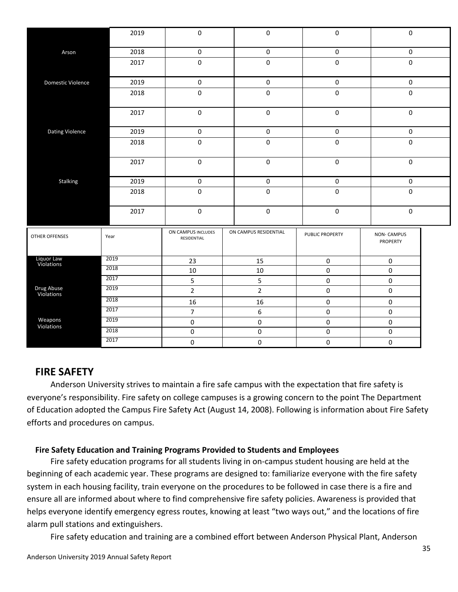|                          | 2019 | $\pmb{0}$                         | $\pmb{0}$             | $\pmb{0}$              | $\pmb{0}$                      |  |
|--------------------------|------|-----------------------------------|-----------------------|------------------------|--------------------------------|--|
| Arson                    | 2018 | $\pmb{0}$                         | $\pmb{0}$             | $\pmb{0}$              | 0                              |  |
|                          | 2017 | $\pmb{0}$                         | $\pmb{0}$             | $\pmb{0}$              | 0                              |  |
| Domestic Violence        | 2019 | $\pmb{0}$                         | $\pmb{0}$             | $\pmb{0}$              | $\pmb{0}$                      |  |
|                          | 2018 | $\pmb{0}$                         | $\pmb{0}$             | $\pmb{0}$              | 0                              |  |
|                          | 2017 | $\pmb{0}$                         | $\pmb{0}$             | $\pmb{0}$              | $\pmb{0}$                      |  |
| <b>Dating Violence</b>   | 2019 | $\pmb{0}$                         | $\pmb{0}$             | $\pmb{0}$              | $\pmb{0}$                      |  |
|                          | 2018 | $\pmb{0}$                         | $\pmb{0}$             | $\pmb{0}$              | 0                              |  |
|                          | 2017 | $\pmb{0}$                         | $\mathbf 0$           | $\pmb{0}$              | 0                              |  |
| Stalking                 | 2019 | $\pmb{0}$                         | $\pmb{0}$             | $\pmb{0}$              | $\pmb{0}$                      |  |
|                          | 2018 | 0                                 | $\mathbf 0$           | $\pmb{0}$              | 0                              |  |
|                          | 2017 | $\pmb{0}$                         | $\pmb{0}$             | $\pmb{0}$              | $\pmb{0}$                      |  |
| OTHER OFFENSES           | Year | ON CAMPUS INCLUDES<br>RESIDENTIAL | ON CAMPUS RESIDENTIAL | <b>PUBLIC PROPERTY</b> | <b>NON- CAMPUS</b><br>PROPERTY |  |
| Liquor Law<br>Violations | 2019 | 23                                | 15                    | $\pmb{0}$              | 0                              |  |
|                          | 2018 | 10                                | 10                    | 0                      | 0                              |  |
|                          | 2017 | 5                                 | 5                     | $\pmb{0}$              | 0                              |  |
| Drug Abuse<br>Violations | 2019 | $\overline{2}$                    | $\overline{2}$        | $\pmb{0}$              | $\pmb{0}$                      |  |
|                          | 2018 | 16                                | 16                    | $\pmb{0}$              | 0                              |  |
|                          | 2017 | $\overline{7}$                    | 6                     | $\pmb{0}$              | $\pmb{0}$                      |  |
| Weapons<br>Violations    | 2019 | 0                                 | $\pmb{0}$             | $\pmb{0}$              | $\pmb{0}$                      |  |
|                          | 2018 | 0                                 | $\pmb{0}$             | $\pmb{0}$              | $\pmb{0}$                      |  |
|                          | 2017 | 0                                 | $\pmb{0}$             | 0                      | 0                              |  |

### **FIRE SAFETY**

Anderson University strives to maintain a fire safe campus with the expectation that fire safety is everyone's responsibility. Fire safety on college campuses is a growing concern to the point The Department of Education adopted the Campus Fire Safety Act (August 14, 2008). Following is information about Fire Safety efforts and procedures on campus.

#### **Fire Safety Education and Training Programs Provided to Students and Employees**

Fire safety education programs for all students living in on-campus student housing are held at the beginning of each academic year. These programs are designed to: familiarize everyone with the fire safety system in each housing facility, train everyone on the procedures to be followed in case there is a fire and ensure all are informed about where to find comprehensive fire safety policies. Awareness is provided that helps everyone identify emergency egress routes, knowing at least "two ways out," and the locations of fire alarm pull stations and extinguishers.

Fire safety education and training are a combined effort between Anderson Physical Plant, Anderson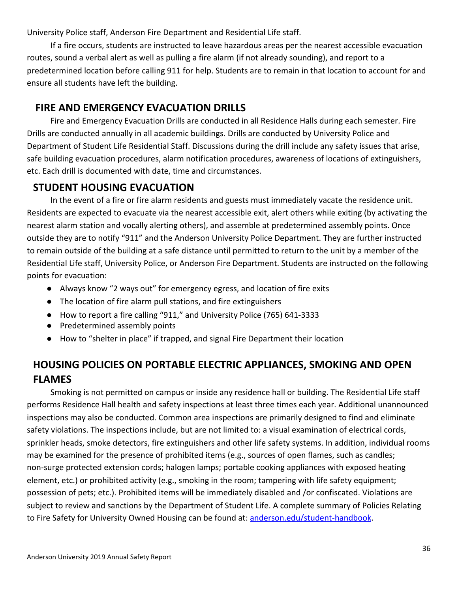University Police staff, Anderson Fire Department and Residential Life staff.

If a fire occurs, students are instructed to leave hazardous areas per the nearest accessible evacuation routes, sound a verbal alert as well as pulling a fire alarm (if not already sounding), and report to a predetermined location before calling 911 for help. Students are to remain in that location to account for and ensure all students have left the building.

### **FIRE AND EMERGENCY EVACUATION DRILLS**

Fire and Emergency Evacuation Drills are conducted in all Residence Halls during each semester. Fire Drills are conducted annually in all academic buildings. Drills are conducted by University Police and Department of Student Life Residential Staff. Discussions during the drill include any safety issues that arise, safe building evacuation procedures, alarm notification procedures, awareness of locations of extinguishers, etc. Each drill is documented with date, time and circumstances.

### **STUDENT HOUSING EVACUATION**

In the event of a fire or fire alarm residents and guests must immediately vacate the residence unit. Residents are expected to evacuate via the nearest accessible exit, alert others while exiting (by activating the nearest alarm station and vocally alerting others), and assemble at predetermined assembly points. Once outside they are to notify "911" and the Anderson University Police Department. They are further instructed to remain outside of the building at a safe distance until permitted to return to the unit by a member of the Residential Life staff, University Police, or Anderson Fire Department. Students are instructed on the following points for evacuation:

- Always know "2 ways out" for emergency egress, and location of fire exits
- The location of fire alarm pull stations, and fire extinguishers
- How to report a fire calling "911," and University Police (765) 641-3333
- Predetermined assembly points
- How to "shelter in place" if trapped, and signal Fire Department their location

# **HOUSING POLICIES ON PORTABLE ELECTRIC APPLIANCES, SMOKING AND OPEN FLAMES**

Smoking is not permitted on campus or inside any residence hall or building. The Residential Life staff performs Residence Hall health and safety inspections at least three times each year. Additional unannounced inspections may also be conducted. Common area inspections are primarily designed to find and eliminate safety violations. The inspections include, but are not limited to: a visual examination of electrical cords, sprinkler heads, smoke detectors, fire extinguishers and other life safety systems. In addition, individual rooms may be examined for the presence of prohibited items (e.g., sources of open flames, such as candles; non-surge protected extension cords; halogen lamps; portable cooking appliances with exposed heating element, etc.) or prohibited activity (e.g., smoking in the room; tampering with life safety equipment; possession of pets; etc.). Prohibited items will be immediately disabled and /or confiscated. Violations are subject to review and sanctions by the Department of Student Life. A complete summary of Policies Relating to Fire Safety for University Owned Housing can be found at: [anderson.edu/student-handbook](http://anderson.edu/student-handbook).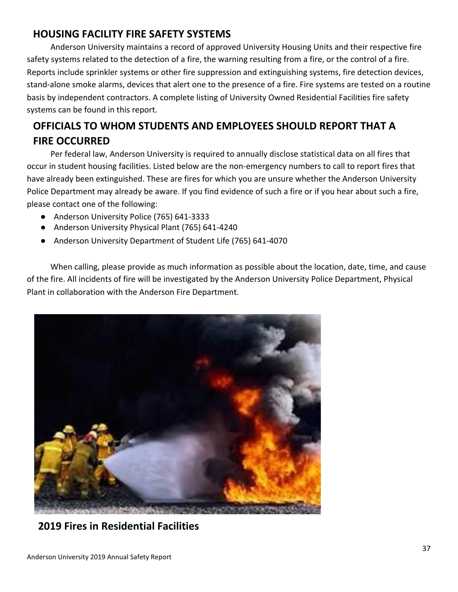## **HOUSING FACILITY FIRE SAFETY SYSTEMS**

Anderson University maintains a record of approved University Housing Units and their respective fire safety systems related to the detection of a fire, the warning resulting from a fire, or the control of a fire. Reports include sprinkler systems or other fire suppression and extinguishing systems, fire detection devices, stand-alone smoke alarms, devices that alert one to the presence of a fire. Fire systems are tested on a routine basis by independent contractors. A complete listing of University Owned Residential Facilities fire safety systems can be found in this report.

# **OFFICIALS TO WHOM STUDENTS AND EMPLOYEES SHOULD REPORT THAT A FIRE OCCURRED**

Per federal law, Anderson University is required to annually disclose statistical data on all fires that occur in student housing facilities. Listed below are the non-emergency numbers to call to report fires that have already been extinguished. These are fires for which you are unsure whether the Anderson University Police Department may already be aware. If you find evidence of such a fire or if you hear about such a fire, please contact one of the following:

- Anderson University Police (765) 641-3333
- Anderson University Physical Plant (765) 641-4240
- Anderson University Department of Student Life (765) 641-4070

When calling, please provide as much information as possible about the location, date, time, and cause of the fire. All incidents of fire will be investigated by the Anderson University Police Department, Physical Plant in collaboration with the Anderson Fire Department.



**2019 Fires in Residential Facilities**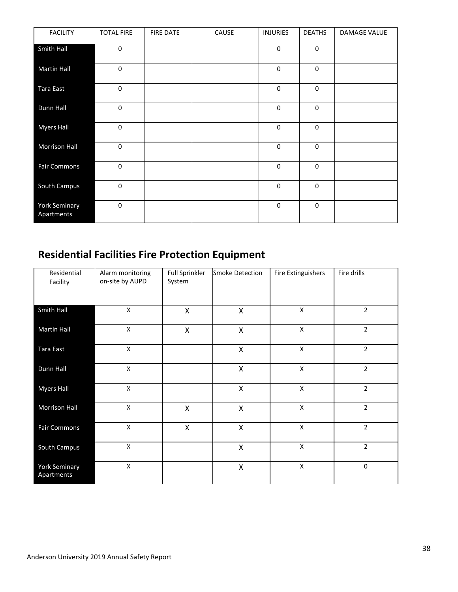| <b>FACILITY</b>                    | <b>TOTAL FIRE</b> | <b>FIRE DATE</b> | CAUSE | <b>INJURIES</b>  | <b>DEATHS</b>    | <b>DAMAGE VALUE</b> |
|------------------------------------|-------------------|------------------|-------|------------------|------------------|---------------------|
| Smith Hall                         | $\mathbf 0$       |                  |       | $\mathbf 0$      | $\mathbf 0$      |                     |
| <b>Martin Hall</b>                 | $\mathbf 0$       |                  |       | $\mathbf 0$      | $\mathbf 0$      |                     |
| <b>Tara East</b>                   | $\pmb{0}$         |                  |       | $\boldsymbol{0}$ | $\boldsymbol{0}$ |                     |
| Dunn Hall                          | $\mathbf 0$       |                  |       | $\mathbf 0$      | $\mathbf 0$      |                     |
| <b>Myers Hall</b>                  | $\mathbf 0$       |                  |       | $\mathbf 0$      | $\mathbf 0$      |                     |
| <b>Morrison Hall</b>               | $\mathbf 0$       |                  |       | $\boldsymbol{0}$ | 0                |                     |
| <b>Fair Commons</b>                | $\pmb{0}$         |                  |       | $\boldsymbol{0}$ | $\boldsymbol{0}$ |                     |
| South Campus                       | $\mathbf 0$       |                  |       | $\mathbf 0$      | $\mathbf 0$      |                     |
| <b>York Seminary</b><br>Apartments | $\mathbf 0$       |                  |       | $\mathbf 0$      | $\mathbf 0$      |                     |

# **Residential Facilities Fire Protection Equipment**

| Residential          | Alarm monitoring   | <b>Full Sprinkler</b> | <b>Smoke Detection</b> | Fire Extinguishers | Fire drills    |
|----------------------|--------------------|-----------------------|------------------------|--------------------|----------------|
| Facility             | on-site by AUPD    | System                |                        |                    |                |
|                      |                    |                       |                        |                    |                |
|                      |                    |                       |                        |                    |                |
| Smith Hall           | $\pmb{\mathsf{X}}$ | $\mathsf{X}$          | $\pmb{\mathsf{X}}$     | Χ                  | $\overline{2}$ |
| <b>Martin Hall</b>   | $\pmb{\mathsf{X}}$ | $\pmb{\mathsf{X}}$    | $\pmb{\mathsf{X}}$     | $\mathsf{X}$       | $\overline{2}$ |
|                      |                    |                       |                        |                    |                |
| <b>Tara East</b>     | $\pmb{\mathsf{X}}$ |                       | $\mathsf{X}$           | Χ                  | $\overline{2}$ |
| Dunn Hall            | $\pmb{\mathsf{X}}$ |                       | $\pmb{\mathsf{X}}$     | $\mathsf{X}% _{0}$ | $\mathbf 2$    |
|                      |                    |                       |                        |                    |                |
| <b>Myers Hall</b>    | X                  |                       | $\pmb{\mathsf{X}}$     | X                  | $\overline{2}$ |
|                      |                    |                       |                        |                    |                |
| <b>Morrison Hall</b> | X                  | $\pmb{\mathsf{X}}$    | $\mathsf{X}$           | Χ                  | $\overline{2}$ |
|                      | $\pmb{\mathsf{X}}$ |                       |                        | Χ                  | $\mathbf 2$    |
| <b>Fair Commons</b>  |                    | X                     | $\pmb{\mathsf{X}}$     |                    |                |
| South Campus         | $\pmb{\mathsf{X}}$ |                       | $\mathsf{X}$           | X                  | $\overline{2}$ |
|                      |                    |                       |                        |                    |                |
| <b>York Seminary</b> | $\pmb{\mathsf{X}}$ |                       | $\pmb{\mathsf{X}}$     | $\pmb{\mathsf{X}}$ | $\pmb{0}$      |
| Apartments           |                    |                       |                        |                    |                |